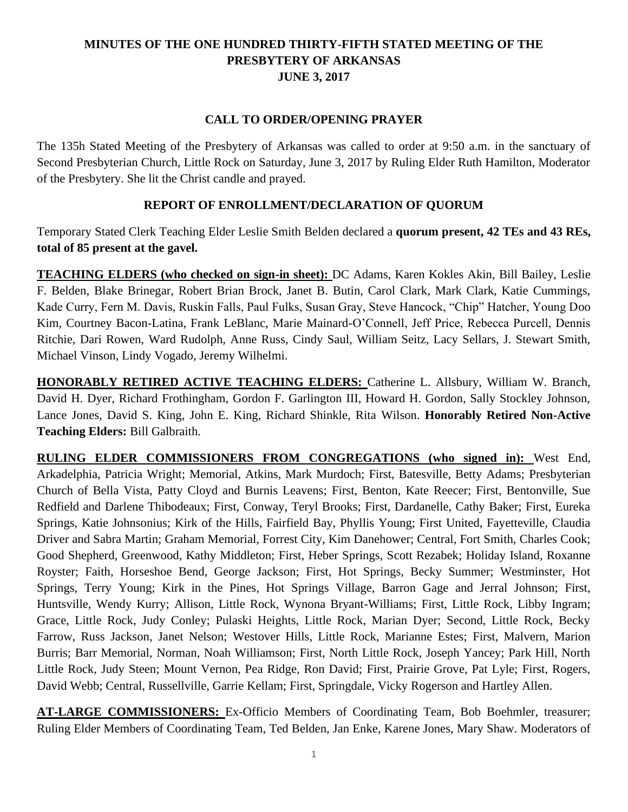# **MINUTES OF THE ONE HUNDRED THIRTY-FIFTH STATED MEETING OF THE PRESBYTERY OF ARKANSAS JUNE 3, 2017**

#### **CALL TO ORDER/OPENING PRAYER**

The 135h Stated Meeting of the Presbytery of Arkansas was called to order at 9:50 a.m. in the sanctuary of Second Presbyterian Church, Little Rock on Saturday, June 3, 2017 by Ruling Elder Ruth Hamilton, Moderator of the Presbytery. She lit the Christ candle and prayed.

## **REPORT OF ENROLLMENT/DECLARATION OF QUORUM**

Temporary Stated Clerk Teaching Elder Leslie Smith Belden declared a **quorum present, 42 TEs and 43 REs, total of 85 present at the gavel.**

**TEACHING ELDERS (who checked on sign-in sheet):** DC Adams, Karen Kokles Akin, Bill Bailey, Leslie F. Belden, Blake Brinegar, Robert Brian Brock, Janet B. Butin, Carol Clark, Mark Clark, Katie Cummings, Kade Curry, Fern M. Davis, Ruskin Falls, Paul Fulks, Susan Gray, Steve Hancock, "Chip" Hatcher, Young Doo Kim, Courtney Bacon-Latina, Frank LeBlanc, Marie Mainard-O'Connell, Jeff Price, Rebecca Purcell, Dennis Ritchie, Dari Rowen, Ward Rudolph, Anne Russ, Cindy Saul, William Seitz, Lacy Sellars, J. Stewart Smith, Michael Vinson, Lindy Vogado, Jeremy Wilhelmi.

**HONORABLY RETIRED ACTIVE TEACHING ELDERS:** Catherine L. Allsbury, William W. Branch, David H. Dyer, Richard Frothingham, Gordon F. Garlington III, Howard H. Gordon, Sally Stockley Johnson, Lance Jones, David S. King, John E. King, Richard Shinkle, Rita Wilson. **Honorably Retired Non-Active Teaching Elders:** Bill Galbraith.

**RULING ELDER COMMISSIONERS FROM CONGREGATIONS (who signed in):** West End, Arkadelphia, Patricia Wright; Memorial, Atkins, Mark Murdoch; First, Batesville, Betty Adams; Presbyterian Church of Bella Vista, Patty Cloyd and Burnis Leavens; First, Benton, Kate Reecer; First, Bentonville, Sue Redfield and Darlene Thibodeaux; First, Conway, Teryl Brooks; First, Dardanelle, Cathy Baker; First, Eureka Springs, Katie Johnsonius; Kirk of the Hills, Fairfield Bay, Phyllis Young; First United, Fayetteville, Claudia Driver and Sabra Martin; Graham Memorial, Forrest City, Kim Danehower; Central, Fort Smith, Charles Cook; Good Shepherd, Greenwood, Kathy Middleton; First, Heber Springs, Scott Rezabek; Holiday Island, Roxanne Royster; Faith, Horseshoe Bend, George Jackson; First, Hot Springs, Becky Summer; Westminster, Hot Springs, Terry Young; Kirk in the Pines, Hot Springs Village, Barron Gage and Jerral Johnson; First, Huntsville, Wendy Kurry; Allison, Little Rock, Wynona Bryant-Williams; First, Little Rock, Libby Ingram; Grace, Little Rock, Judy Conley; Pulaski Heights, Little Rock, Marian Dyer; Second, Little Rock, Becky Farrow, Russ Jackson, Janet Nelson; Westover Hills, Little Rock, Marianne Estes; First, Malvern, Marion Burris; Barr Memorial, Norman, Noah Williamson; First, North Little Rock, Joseph Yancey; Park Hill, North Little Rock, Judy Steen; Mount Vernon, Pea Ridge, Ron David; First, Prairie Grove, Pat Lyle; First, Rogers, David Webb; Central, Russellville, Garrie Kellam; First, Springdale, Vicky Rogerson and Hartley Allen.

**AT-LARGE COMMISSIONERS:** Ex-Officio Members of Coordinating Team, Bob Boehmler, treasurer; Ruling Elder Members of Coordinating Team, Ted Belden, Jan Enke, Karene Jones, Mary Shaw. Moderators of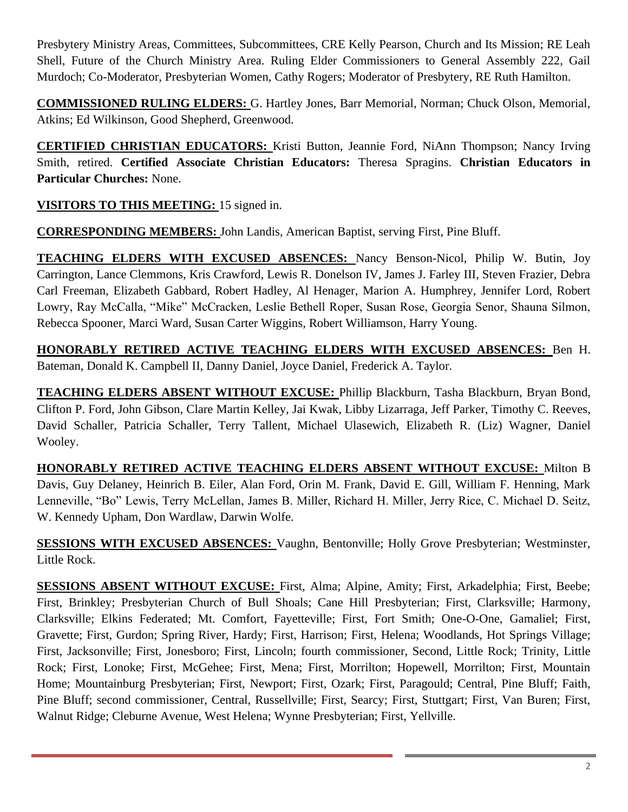Presbytery Ministry Areas, Committees, Subcommittees, CRE Kelly Pearson, Church and Its Mission; RE Leah Shell, Future of the Church Ministry Area. Ruling Elder Commissioners to General Assembly 222, Gail Murdoch; Co-Moderator, Presbyterian Women, Cathy Rogers; Moderator of Presbytery, RE Ruth Hamilton.

**COMMISSIONED RULING ELDERS:** G. Hartley Jones, Barr Memorial, Norman; Chuck Olson, Memorial, Atkins; Ed Wilkinson, Good Shepherd, Greenwood.

**CERTIFIED CHRISTIAN EDUCATORS:** Kristi Button, Jeannie Ford, NiAnn Thompson; Nancy Irving Smith, retired. **Certified Associate Christian Educators:** Theresa Spragins. **Christian Educators in Particular Churches:** None.

**VISITORS TO THIS MEETING:** 15 signed in.

**CORRESPONDING MEMBERS:** John Landis, American Baptist, serving First, Pine Bluff.

**TEACHING ELDERS WITH EXCUSED ABSENCES:** Nancy Benson-Nicol, Philip W. Butin, Joy Carrington, Lance Clemmons, Kris Crawford, Lewis R. Donelson IV, James J. Farley III, Steven Frazier, Debra Carl Freeman, Elizabeth Gabbard, Robert Hadley, Al Henager, Marion A. Humphrey, Jennifer Lord, Robert Lowry, Ray McCalla, "Mike" McCracken, Leslie Bethell Roper, Susan Rose, Georgia Senor, Shauna Silmon, Rebecca Spooner, Marci Ward, Susan Carter Wiggins, Robert Williamson, Harry Young.

**HONORABLY RETIRED ACTIVE TEACHING ELDERS WITH EXCUSED ABSENCES:** Ben H. Bateman, Donald K. Campbell II, Danny Daniel, Joyce Daniel, Frederick A. Taylor.

**TEACHING ELDERS ABSENT WITHOUT EXCUSE:** Phillip Blackburn, Tasha Blackburn, Bryan Bond, Clifton P. Ford, John Gibson, Clare Martin Kelley, Jai Kwak, Libby Lizarraga, Jeff Parker, Timothy C. Reeves, David Schaller, Patricia Schaller, Terry Tallent, Michael Ulasewich, Elizabeth R. (Liz) Wagner, Daniel Wooley.

**HONORABLY RETIRED ACTIVE TEACHING ELDERS ABSENT WITHOUT EXCUSE:** Milton B Davis, Guy Delaney, Heinrich B. Eiler, Alan Ford, Orin M. Frank, David E. Gill, William F. Henning, Mark Lenneville, "Bo" Lewis, Terry McLellan, James B. Miller, Richard H. Miller, Jerry Rice, C. Michael D. Seitz, W. Kennedy Upham, Don Wardlaw, Darwin Wolfe.

**SESSIONS WITH EXCUSED ABSENCES:** Vaughn, Bentonville; Holly Grove Presbyterian; Westminster, Little Rock.

**SESSIONS ABSENT WITHOUT EXCUSE:** First, Alma; Alpine, Amity; First, Arkadelphia; First, Beebe; First, Brinkley; Presbyterian Church of Bull Shoals; Cane Hill Presbyterian; First, Clarksville; Harmony, Clarksville; Elkins Federated; Mt. Comfort, Fayetteville; First, Fort Smith; One-O-One, Gamaliel; First, Gravette; First, Gurdon; Spring River, Hardy; First, Harrison; First, Helena; Woodlands, Hot Springs Village; First, Jacksonville; First, Jonesboro; First, Lincoln; fourth commissioner, Second, Little Rock; Trinity, Little Rock; First, Lonoke; First, McGehee; First, Mena; First, Morrilton; Hopewell, Morrilton; First, Mountain Home; Mountainburg Presbyterian; First, Newport; First, Ozark; First, Paragould; Central, Pine Bluff; Faith, Pine Bluff; second commissioner, Central, Russellville; First, Searcy; First, Stuttgart; First, Van Buren; First, Walnut Ridge; Cleburne Avenue, West Helena; Wynne Presbyterian; First, Yellville.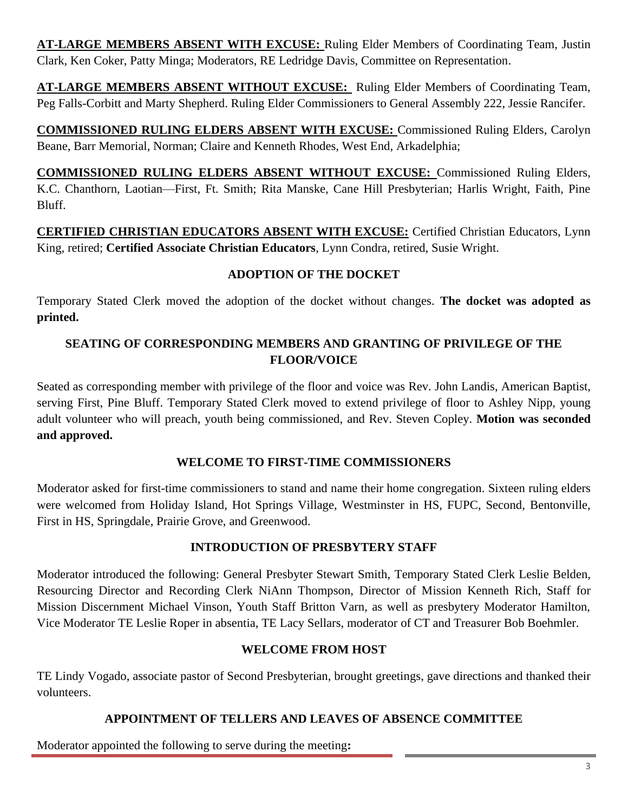**AT-LARGE MEMBERS ABSENT WITH EXCUSE:** Ruling Elder Members of Coordinating Team, Justin Clark, Ken Coker, Patty Minga; Moderators, RE Ledridge Davis, Committee on Representation.

**AT-LARGE MEMBERS ABSENT WITHOUT EXCUSE:** Ruling Elder Members of Coordinating Team, Peg Falls-Corbitt and Marty Shepherd. Ruling Elder Commissioners to General Assembly 222, Jessie Rancifer.

**COMMISSIONED RULING ELDERS ABSENT WITH EXCUSE:** Commissioned Ruling Elders, Carolyn Beane, Barr Memorial, Norman; Claire and Kenneth Rhodes, West End, Arkadelphia;

**COMMISSIONED RULING ELDERS ABSENT WITHOUT EXCUSE:** Commissioned Ruling Elders, K.C. Chanthorn, Laotian—First, Ft. Smith; Rita Manske, Cane Hill Presbyterian; Harlis Wright, Faith, Pine Bluff.

**CERTIFIED CHRISTIAN EDUCATORS ABSENT WITH EXCUSE:** Certified Christian Educators, Lynn King, retired; **Certified Associate Christian Educators**, Lynn Condra, retired, Susie Wright.

# **ADOPTION OF THE DOCKET**

Temporary Stated Clerk moved the adoption of the docket without changes. **The docket was adopted as printed.**

# **SEATING OF CORRESPONDING MEMBERS AND GRANTING OF PRIVILEGE OF THE FLOOR/VOICE**

Seated as corresponding member with privilege of the floor and voice was Rev. John Landis, American Baptist, serving First, Pine Bluff. Temporary Stated Clerk moved to extend privilege of floor to Ashley Nipp, young adult volunteer who will preach, youth being commissioned, and Rev. Steven Copley. **Motion was seconded and approved.**

## **WELCOME TO FIRST-TIME COMMISSIONERS**

Moderator asked for first-time commissioners to stand and name their home congregation. Sixteen ruling elders were welcomed from Holiday Island, Hot Springs Village, Westminster in HS, FUPC, Second, Bentonville, First in HS, Springdale, Prairie Grove, and Greenwood.

## **INTRODUCTION OF PRESBYTERY STAFF**

Moderator introduced the following: General Presbyter Stewart Smith, Temporary Stated Clerk Leslie Belden, Resourcing Director and Recording Clerk NiAnn Thompson, Director of Mission Kenneth Rich, Staff for Mission Discernment Michael Vinson, Youth Staff Britton Varn, as well as presbytery Moderator Hamilton, Vice Moderator TE Leslie Roper in absentia, TE Lacy Sellars, moderator of CT and Treasurer Bob Boehmler.

## **WELCOME FROM HOST**

TE Lindy Vogado, associate pastor of Second Presbyterian, brought greetings, gave directions and thanked their volunteers.

## **APPOINTMENT OF TELLERS AND LEAVES OF ABSENCE COMMITTEE**

Moderator appointed the following to serve during the meeting**:**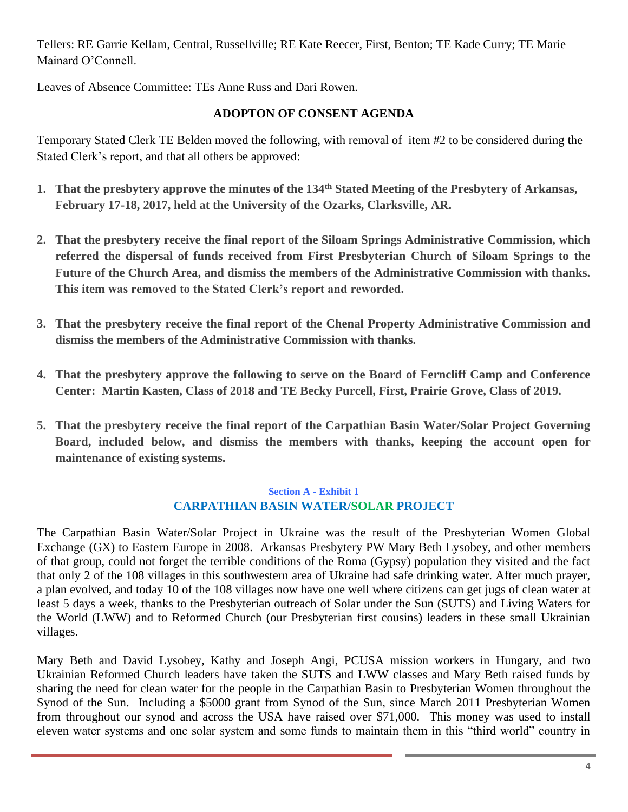Tellers: RE Garrie Kellam, Central, Russellville; RE Kate Reecer, First, Benton; TE Kade Curry; TE Marie Mainard O'Connell.

Leaves of Absence Committee: TEs Anne Russ and Dari Rowen.

# **ADOPTON OF CONSENT AGENDA**

Temporary Stated Clerk TE Belden moved the following, with removal of item #2 to be considered during the Stated Clerk's report, and that all others be approved:

- **1. That the presbytery approve the minutes of the 134th Stated Meeting of the Presbytery of Arkansas, February 17-18, 2017, held at the University of the Ozarks, Clarksville, AR.**
- **2. That the presbytery receive the final report of the Siloam Springs Administrative Commission, which referred the dispersal of funds received from First Presbyterian Church of Siloam Springs to the Future of the Church Area, and dismiss the members of the Administrative Commission with thanks. This item was removed to the Stated Clerk's report and reworded.**
- **3. That the presbytery receive the final report of the Chenal Property Administrative Commission and dismiss the members of the Administrative Commission with thanks.**
- **4. That the presbytery approve the following to serve on the Board of Ferncliff Camp and Conference Center: Martin Kasten, Class of 2018 and TE Becky Purcell, First, Prairie Grove, Class of 2019.**
- **5. That the presbytery receive the final report of the Carpathian Basin Water/Solar Project Governing Board, included below, and dismiss the members with thanks, keeping the account open for maintenance of existing systems.**

## **Section A - Exhibit 1 CARPATHIAN BASIN WATER/SOLAR PROJECT**

The Carpathian Basin Water/Solar Project in Ukraine was the result of the Presbyterian Women Global Exchange (GX) to Eastern Europe in 2008. Arkansas Presbytery PW Mary Beth Lysobey, and other members of that group, could not forget the terrible conditions of the Roma (Gypsy) population they visited and the fact that only 2 of the 108 villages in this southwestern area of Ukraine had safe drinking water. After much prayer, a plan evolved, and today 10 of the 108 villages now have one well where citizens can get jugs of clean water at least 5 days a week, thanks to the Presbyterian outreach of Solar under the Sun (SUTS) and Living Waters for the World (LWW) and to Reformed Church (our Presbyterian first cousins) leaders in these small Ukrainian villages.

Mary Beth and David Lysobey, Kathy and Joseph Angi, PCUSA mission workers in Hungary, and two Ukrainian Reformed Church leaders have taken the SUTS and LWW classes and Mary Beth raised funds by sharing the need for clean water for the people in the Carpathian Basin to Presbyterian Women throughout the Synod of the Sun. Including a \$5000 grant from Synod of the Sun, since March 2011 Presbyterian Women from throughout our synod and across the USA have raised over \$71,000. This money was used to install eleven water systems and one solar system and some funds to maintain them in this "third world" country in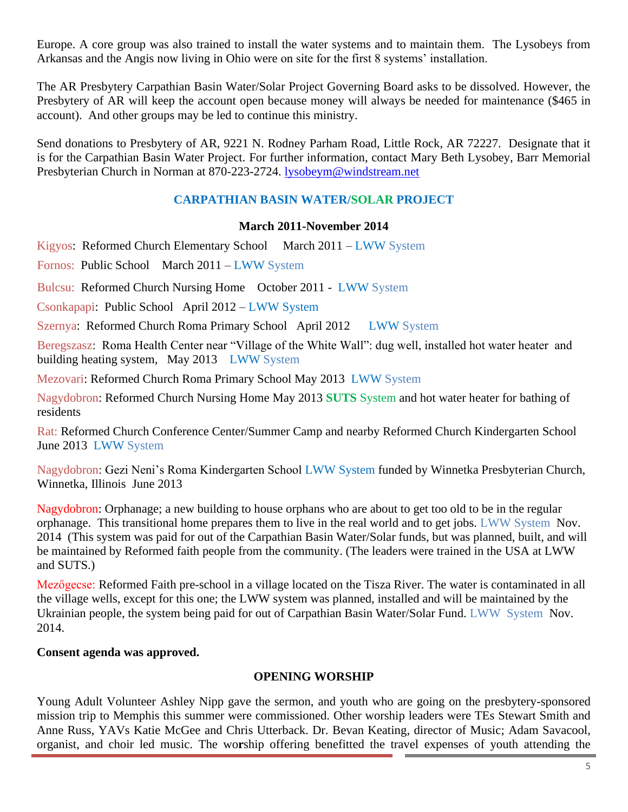Europe. A core group was also trained to install the water systems and to maintain them. The Lysobeys from Arkansas and the Angis now living in Ohio were on site for the first 8 systems' installation.

The AR Presbytery Carpathian Basin Water/Solar Project Governing Board asks to be dissolved. However, the Presbytery of AR will keep the account open because money will always be needed for maintenance (\$465 in account). And other groups may be led to continue this ministry.

Send donations to Presbytery of AR, 9221 N. Rodney Parham Road, Little Rock, AR 72227. Designate that it is for the Carpathian Basin Water Project. For further information, contact Mary Beth Lysobey, Barr Memorial Presbyterian Church in Norman at 870-223-2724. [lysobeym@windstream.net](mailto:lysobeym@windstream.net)

# **CARPATHIAN BASIN WATER/SOLAR PROJECT**

# **March 2011-November 2014**

Kigyos: Reformed Church Elementary School March 2011 – LWW System

Fornos: Public School March 2011 – LWW System

Bulcsu: Reformed Church Nursing Home October 2011 - LWW System

Csonkapapi: Public School April 2012 – LWW System

Szernya: Reformed Church Roma Primary School April 2012 LWW System

Beregszasz: Roma Health Center near "Village of the White Wall": dug well, installed hot water heater and building heating system, May 2013 LWW System

Mezovari: Reformed Church Roma Primary School May 2013 LWW System

Nagydobron: Reformed Church Nursing Home May 2013 **SUTS** System and hot water heater for bathing of residents

Rat: Reformed Church Conference Center/Summer Camp and nearby Reformed Church Kindergarten School June 2013 LWW System

Nagydobron: Gezi Neni's Roma Kindergarten School LWW System funded by Winnetka Presbyterian Church, Winnetka, Illinois June 2013

Nagydobron: Orphanage; a new building to house orphans who are about to get too old to be in the regular orphanage. This transitional home prepares them to live in the real world and to get jobs. LWW System Nov. 2014 (This system was paid for out of the Carpathian Basin Water/Solar funds, but was planned, built, and will be maintained by Reformed faith people from the community. (The leaders were trained in the USA at LWW and SUTS.)

Mezőgecse: Reformed Faith pre-school in a village located on the Tisza River. The water is contaminated in all the village wells, except for this one; the LWW system was planned, installed and will be maintained by the Ukrainian people, the system being paid for out of Carpathian Basin Water/Solar Fund. LWW System Nov. 2014.

# **Consent agenda was approved.**

# **OPENING WORSHIP**

Young Adult Volunteer Ashley Nipp gave the sermon, and youth who are going on the presbytery-sponsored mission trip to Memphis this summer were commissioned. Other worship leaders were TEs Stewart Smith and Anne Russ, YAVs Katie McGee and Chris Utterback. Dr. Bevan Keating, director of Music; Adam Savacool, organist, and choir led music. The wo**r**ship offering benefitted the travel expenses of youth attending the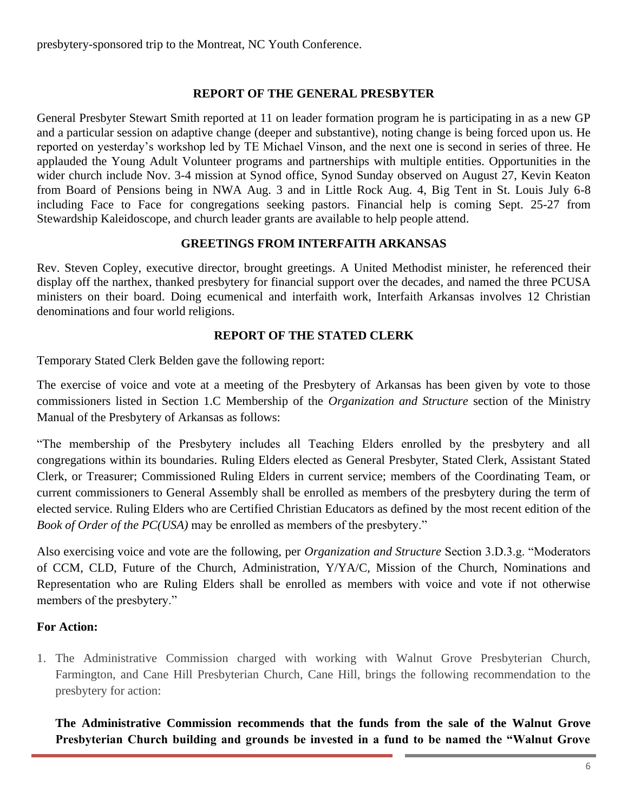presbytery-sponsored trip to the Montreat, NC Youth Conference.

# **REPORT OF THE GENERAL PRESBYTER**

General Presbyter Stewart Smith reported at 11 on leader formation program he is participating in as a new GP and a particular session on adaptive change (deeper and substantive), noting change is being forced upon us. He reported on yesterday's workshop led by TE Michael Vinson, and the next one is second in series of three. He applauded the Young Adult Volunteer programs and partnerships with multiple entities. Opportunities in the wider church include Nov. 3-4 mission at Synod office, Synod Sunday observed on August 27, Kevin Keaton from Board of Pensions being in NWA Aug. 3 and in Little Rock Aug. 4, Big Tent in St. Louis July 6-8 including Face to Face for congregations seeking pastors. Financial help is coming Sept. 25-27 from Stewardship Kaleidoscope, and church leader grants are available to help people attend.

## **GREETINGS FROM INTERFAITH ARKANSAS**

Rev. Steven Copley, executive director, brought greetings. A United Methodist minister, he referenced their display off the narthex, thanked presbytery for financial support over the decades, and named the three PCUSA ministers on their board. Doing ecumenical and interfaith work, Interfaith Arkansas involves 12 Christian denominations and four world religions.

## **REPORT OF THE STATED CLERK**

Temporary Stated Clerk Belden gave the following report:

The exercise of voice and vote at a meeting of the Presbytery of Arkansas has been given by vote to those commissioners listed in Section 1.C Membership of the *Organization and Structure* section of the Ministry Manual of the Presbytery of Arkansas as follows:

"The membership of the Presbytery includes all Teaching Elders enrolled by the presbytery and all congregations within its boundaries. Ruling Elders elected as General Presbyter, Stated Clerk, Assistant Stated Clerk, or Treasurer; Commissioned Ruling Elders in current service; members of the Coordinating Team, or current commissioners to General Assembly shall be enrolled as members of the presbytery during the term of elected service. Ruling Elders who are Certified Christian Educators as defined by the most recent edition of the *Book of Order of the PC(USA)* may be enrolled as members of the presbytery."

Also exercising voice and vote are the following, per *Organization and Structure* Section 3.D.3.g. "Moderators of CCM, CLD, Future of the Church, Administration, Y/YA/C, Mission of the Church, Nominations and Representation who are Ruling Elders shall be enrolled as members with voice and vote if not otherwise members of the presbytery."

## **For Action:**

1. The Administrative Commission charged with working with Walnut Grove Presbyterian Church, Farmington, and Cane Hill Presbyterian Church, Cane Hill, brings the following recommendation to the presbytery for action:

**The Administrative Commission recommends that the funds from the sale of the Walnut Grove Presbyterian Church building and grounds be invested in a fund to be named the "Walnut Grove**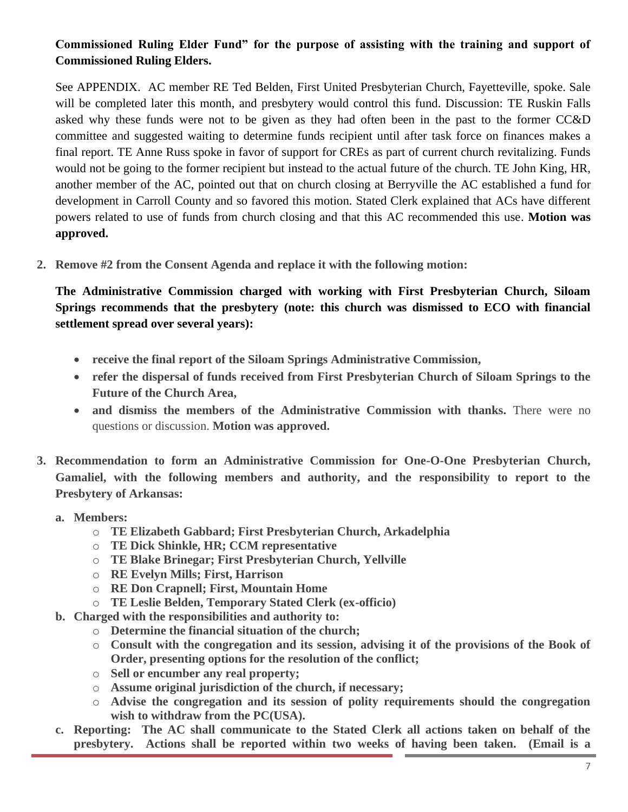# **Commissioned Ruling Elder Fund" for the purpose of assisting with the training and support of Commissioned Ruling Elders.**

See APPENDIX. AC member RE Ted Belden, First United Presbyterian Church, Fayetteville, spoke. Sale will be completed later this month, and presbytery would control this fund. Discussion: TE Ruskin Falls asked why these funds were not to be given as they had often been in the past to the former CC&D committee and suggested waiting to determine funds recipient until after task force on finances makes a final report. TE Anne Russ spoke in favor of support for CREs as part of current church revitalizing. Funds would not be going to the former recipient but instead to the actual future of the church. TE John King, HR, another member of the AC, pointed out that on church closing at Berryville the AC established a fund for development in Carroll County and so favored this motion. Stated Clerk explained that ACs have different powers related to use of funds from church closing and that this AC recommended this use. **Motion was approved.**

**2. Remove #2 from the Consent Agenda and replace it with the following motion:**

**The Administrative Commission charged with working with First Presbyterian Church, Siloam Springs recommends that the presbytery (note: this church was dismissed to ECO with financial settlement spread over several years):**

- **receive the final report of the Siloam Springs Administrative Commission,**
- **refer the dispersal of funds received from First Presbyterian Church of Siloam Springs to the Future of the Church Area,**
- **and dismiss the members of the Administrative Commission with thanks.** There were no questions or discussion. **Motion was approved.**
- **3. Recommendation to form an Administrative Commission for One-O-One Presbyterian Church, Gamaliel, with the following members and authority, and the responsibility to report to the Presbytery of Arkansas:** 
	- **a. Members:**
		- o **TE Elizabeth Gabbard; First Presbyterian Church, Arkadelphia**
		- o **TE Dick Shinkle, HR; CCM representative**
		- o **TE Blake Brinegar; First Presbyterian Church, Yellville**
		- o **RE Evelyn Mills; First, Harrison**
		- o **RE Don Crapnell; First, Mountain Home**
		- o **TE Leslie Belden, Temporary Stated Clerk (ex-officio)**
	- **b. Charged with the responsibilities and authority to:**
		- o **Determine the financial situation of the church;**
		- o **Consult with the congregation and its session, advising it of the provisions of the Book of Order, presenting options for the resolution of the conflict;**
		- o **Sell or encumber any real property;**
		- o **Assume original jurisdiction of the church, if necessary;**
		- o **Advise the congregation and its session of polity requirements should the congregation wish to withdraw from the PC(USA).**
	- **c. Reporting: The AC shall communicate to the Stated Clerk all actions taken on behalf of the presbytery. Actions shall be reported within two weeks of having been taken. (Email is a**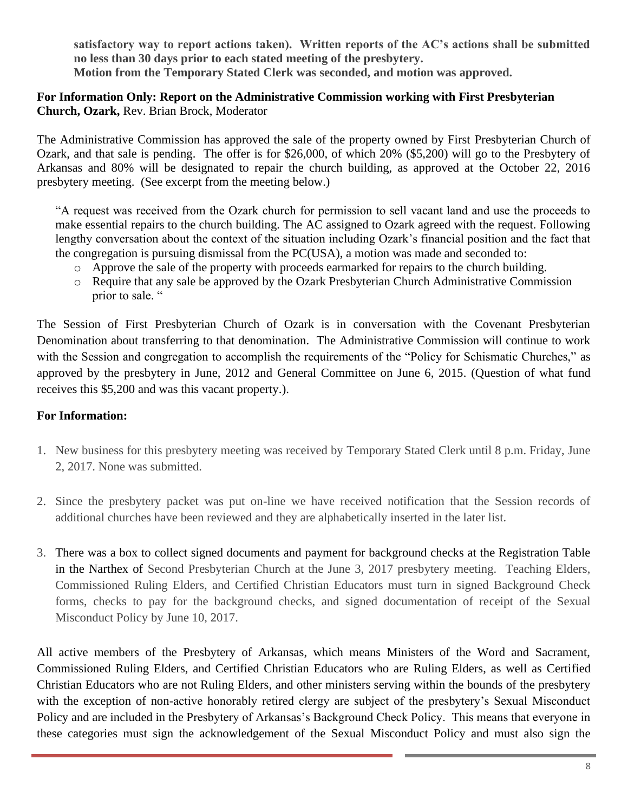**satisfactory way to report actions taken). Written reports of the AC's actions shall be submitted no less than 30 days prior to each stated meeting of the presbytery. Motion from the Temporary Stated Clerk was seconded, and motion was approved.**

# **For Information Only: Report on the Administrative Commission working with First Presbyterian Church, Ozark,** Rev. Brian Brock, Moderator

The Administrative Commission has approved the sale of the property owned by First Presbyterian Church of Ozark, and that sale is pending. The offer is for \$26,000, of which 20% (\$5,200) will go to the Presbytery of Arkansas and 80% will be designated to repair the church building, as approved at the October 22, 2016 presbytery meeting. (See excerpt from the meeting below.)

"A request was received from the Ozark church for permission to sell vacant land and use the proceeds to make essential repairs to the church building. The AC assigned to Ozark agreed with the request. Following lengthy conversation about the context of the situation including Ozark's financial position and the fact that the congregation is pursuing dismissal from the PC(USA), a motion was made and seconded to:

- o Approve the sale of the property with proceeds earmarked for repairs to the church building.
- o Require that any sale be approved by the Ozark Presbyterian Church Administrative Commission prior to sale. "

The Session of First Presbyterian Church of Ozark is in conversation with the Covenant Presbyterian Denomination about transferring to that denomination. The Administrative Commission will continue to work with the Session and congregation to accomplish the requirements of the "Policy for Schismatic Churches," as approved by the presbytery in June, 2012 and General Committee on June 6, 2015. (Question of what fund receives this \$5,200 and was this vacant property.).

# **For Information:**

- 1. New business for this presbytery meeting was received by Temporary Stated Clerk until 8 p.m. Friday, June 2, 2017. None was submitted.
- 2. Since the presbytery packet was put on-line we have received notification that the Session records of additional churches have been reviewed and they are alphabetically inserted in the later list.
- 3. There was a box to collect signed documents and payment for background checks at the Registration Table in the Narthex of Second Presbyterian Church at the June 3, 2017 presbytery meeting. Teaching Elders, Commissioned Ruling Elders, and Certified Christian Educators must turn in signed Background Check forms, checks to pay for the background checks, and signed documentation of receipt of the Sexual Misconduct Policy by June 10, 2017.

All active members of the Presbytery of Arkansas, which means Ministers of the Word and Sacrament, Commissioned Ruling Elders, and Certified Christian Educators who are Ruling Elders, as well as Certified Christian Educators who are not Ruling Elders, and other ministers serving within the bounds of the presbytery with the exception of non-active honorably retired clergy are subject of the presbytery's Sexual Misconduct Policy and are included in the Presbytery of Arkansas's Background Check Policy. This means that everyone in these categories must sign the acknowledgement of the Sexual Misconduct Policy and must also sign the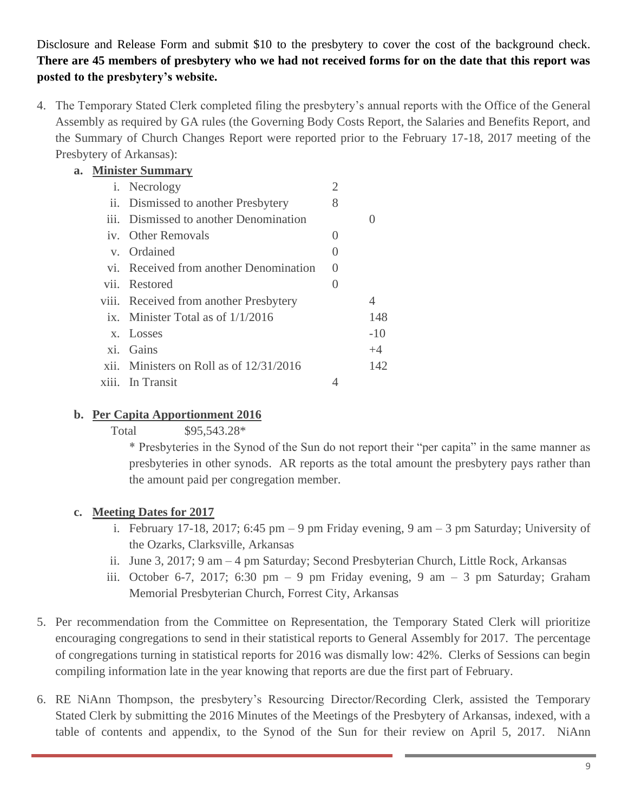Disclosure and Release Form and submit \$10 to the presbytery to cover the cost of the background check. **There are 45 members of presbytery who we had not received forms for on the date that this report was posted to the presbytery's website.**

4. The Temporary Stated Clerk completed filing the presbytery's annual reports with the Office of the General Assembly as required by GA rules (the Governing Body Costs Report, the Salaries and Benefits Report, and the Summary of Church Changes Report were reported prior to the February 17-18, 2017 meeting of the Presbytery of Arkansas):

| a. Minister Summary |                                           |   |       |  |
|---------------------|-------------------------------------------|---|-------|--|
|                     | <i>i</i> . Necrology                      | 2 |       |  |
|                     | ii. Dismissed to another Presbytery       | 8 |       |  |
|                     | iii. Dismissed to another Denomination    |   |       |  |
|                     | iv. Other Removals                        |   |       |  |
|                     | v. Ordained                               |   |       |  |
|                     | vi. Received from another Denomination    |   |       |  |
|                     | vii. Restored                             |   |       |  |
|                     | viii. Received from another Presbytery    |   |       |  |
|                     | ix. Minister Total as of $1/1/2016$       |   | 148   |  |
|                     | x. Losses                                 |   | $-10$ |  |
|                     | xi. Gains                                 |   | $+4$  |  |
|                     | xii. Ministers on Roll as of $12/31/2016$ |   | 142   |  |
| X111.               | In Transit                                |   |       |  |

# **b. Per Capita Apportionment 2016**

Total  $$95,543.28*$ 

\* Presbyteries in the Synod of the Sun do not report their "per capita" in the same manner as presbyteries in other synods. AR reports as the total amount the presbytery pays rather than the amount paid per congregation member.

# **c. Meeting Dates for 2017**

- i. February 17-18, 2017; 6:45 pm 9 pm Friday evening, 9 am 3 pm Saturday; University of the Ozarks, Clarksville, Arkansas
- ii. June 3, 2017; 9 am 4 pm Saturday; Second Presbyterian Church, Little Rock, Arkansas
- iii. October 6-7, 2017; 6:30 pm 9 pm Friday evening, 9 am 3 pm Saturday; Graham Memorial Presbyterian Church, Forrest City, Arkansas
- 5. Per recommendation from the Committee on Representation, the Temporary Stated Clerk will prioritize encouraging congregations to send in their statistical reports to General Assembly for 2017. The percentage of congregations turning in statistical reports for 2016 was dismally low: 42%. Clerks of Sessions can begin compiling information late in the year knowing that reports are due the first part of February.
- 6. RE NiAnn Thompson, the presbytery's Resourcing Director/Recording Clerk, assisted the Temporary Stated Clerk by submitting the 2016 Minutes of the Meetings of the Presbytery of Arkansas, indexed, with a table of contents and appendix, to the Synod of the Sun for their review on April 5, 2017. NiAnn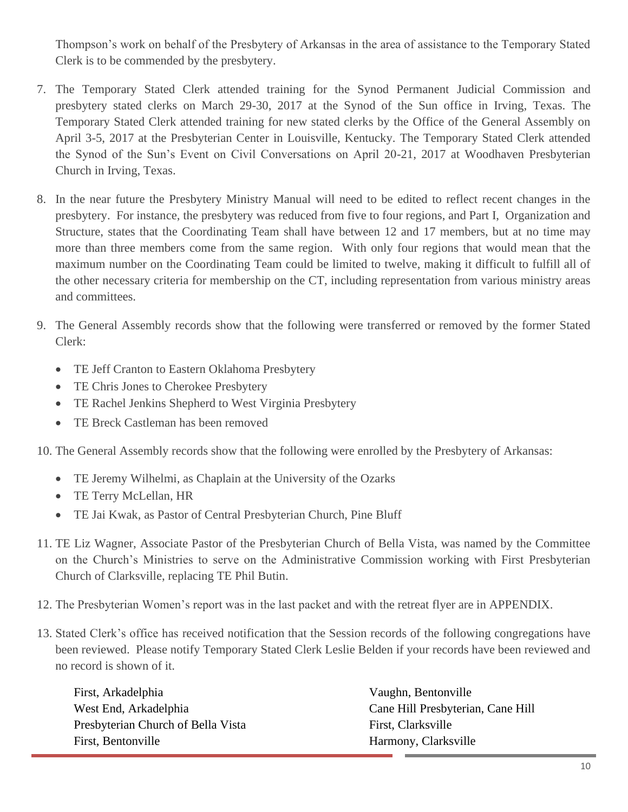Thompson's work on behalf of the Presbytery of Arkansas in the area of assistance to the Temporary Stated Clerk is to be commended by the presbytery.

- 7. The Temporary Stated Clerk attended training for the Synod Permanent Judicial Commission and presbytery stated clerks on March 29-30, 2017 at the Synod of the Sun office in Irving, Texas. The Temporary Stated Clerk attended training for new stated clerks by the Office of the General Assembly on April 3-5, 2017 at the Presbyterian Center in Louisville, Kentucky. The Temporary Stated Clerk attended the Synod of the Sun's Event on Civil Conversations on April 20-21, 2017 at Woodhaven Presbyterian Church in Irving, Texas.
- 8. In the near future the Presbytery Ministry Manual will need to be edited to reflect recent changes in the presbytery. For instance, the presbytery was reduced from five to four regions, and Part I, Organization and Structure, states that the Coordinating Team shall have between 12 and 17 members, but at no time may more than three members come from the same region. With only four regions that would mean that the maximum number on the Coordinating Team could be limited to twelve, making it difficult to fulfill all of the other necessary criteria for membership on the CT, including representation from various ministry areas and committees.
- 9. The General Assembly records show that the following were transferred or removed by the former Stated Clerk:
	- TE Jeff Cranton to Eastern Oklahoma Presbytery
	- TE Chris Jones to Cherokee Presbytery
	- TE Rachel Jenkins Shepherd to West Virginia Presbytery
	- TE Breck Castleman has been removed

10. The General Assembly records show that the following were enrolled by the Presbytery of Arkansas:

- TE Jeremy Wilhelmi, as Chaplain at the University of the Ozarks
- TE Terry McLellan, HR
- TE Jai Kwak, as Pastor of Central Presbyterian Church, Pine Bluff
- 11. TE Liz Wagner, Associate Pastor of the Presbyterian Church of Bella Vista, was named by the Committee on the Church's Ministries to serve on the Administrative Commission working with First Presbyterian Church of Clarksville, replacing TE Phil Butin.
- 12. The Presbyterian Women's report was in the last packet and with the retreat flyer are in APPENDIX.
- 13. Stated Clerk's office has received notification that the Session records of the following congregations have been reviewed. Please notify Temporary Stated Clerk Leslie Belden if your records have been reviewed and no record is shown of it.

| First, Arkadelphia                 | Vaughn, Bentonville               |
|------------------------------------|-----------------------------------|
| West End, Arkadelphia              | Cane Hill Presbyterian, Cane Hill |
| Presbyterian Church of Bella Vista | First, Clarksville                |
| First, Bentonville                 | Harmony, Clarksville              |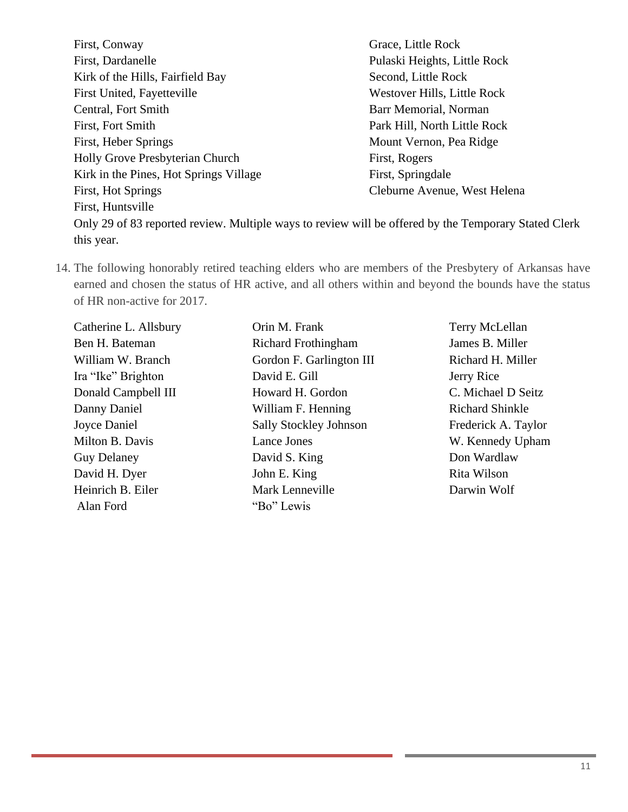| First, Conway                                                                                        | Grace, Little Rock           |
|------------------------------------------------------------------------------------------------------|------------------------------|
| First, Dardanelle                                                                                    | Pulaski Heights, Little Rock |
| Kirk of the Hills, Fairfield Bay                                                                     | Second, Little Rock          |
| First United, Fayetteville                                                                           | Westover Hills, Little Rock  |
| Central, Fort Smith                                                                                  | Barr Memorial, Norman        |
| First, Fort Smith                                                                                    | Park Hill, North Little Rock |
| First, Heber Springs                                                                                 | Mount Vernon, Pea Ridge      |
| Holly Grove Presbyterian Church                                                                      | First, Rogers                |
| Kirk in the Pines, Hot Springs Village                                                               | First, Springdale            |
| First, Hot Springs                                                                                   | Cleburne Avenue, West Helena |
| First, Huntsville                                                                                    |                              |
| Only 29 of 83 reported review. Multiple ways to review will be offered by the Temporary Stated Clerk |                              |
| this year.                                                                                           |                              |
|                                                                                                      |                              |

14. The following honorably retired teaching elders who are members of the Presbytery of Arkansas have earned and chosen the status of HR active, and all others within and beyond the bounds have the status of HR non-active for 2017.

| Catherine L. Allsbury |
|-----------------------|
| Ben H. Bateman        |
| William W. Branch     |
| Ira "Ike" Brighton    |
| Donald Campbell III   |
| Danny Daniel          |
| Joyce Daniel          |
| Milton B. Davis       |
| <b>Guy Delaney</b>    |
| David H. Dyer         |
| Heinrich B. Eiler     |
| Alan Ford             |

Orin M. Frank Richard Frothingham Gordon F. Garlington III David E. Gill Howard H. Gordon William F. Henning Sally Stockley Johnson Lance Jones David S. King John E. King Mark Lenneville "Bo" Lewis

Terry McLellan James B. Miller Richard H. Miller Jerry Rice C. Michael D Seitz Richard Shinkle Frederick A. Taylor W. Kennedy Upham Don Wardlaw Rita Wilson Darwin Wolf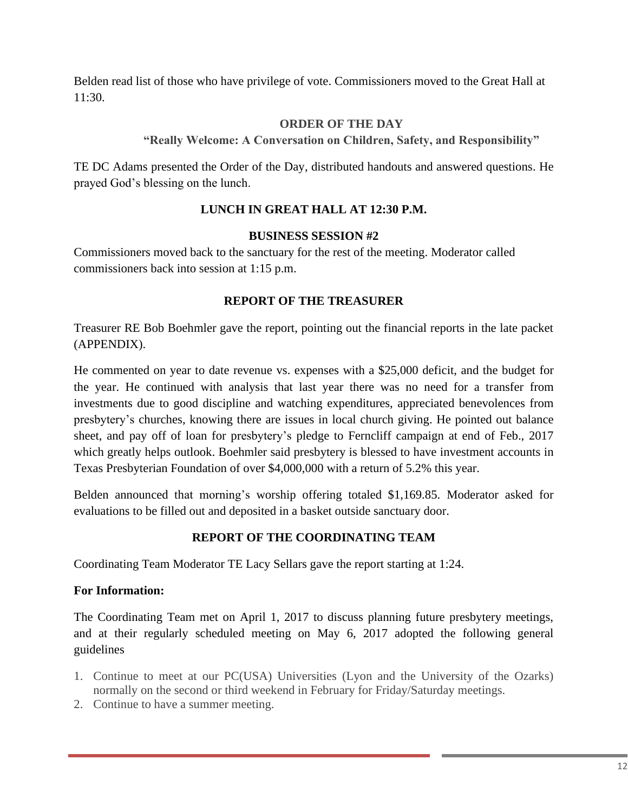Belden read list of those who have privilege of vote. Commissioners moved to the Great Hall at 11:30.

# **ORDER OF THE DAY**

**"Really Welcome: A Conversation on Children, Safety, and Responsibility"**

TE DC Adams presented the Order of the Day, distributed handouts and answered questions. He prayed God's blessing on the lunch.

# **LUNCH IN GREAT HALL AT 12:30 P.M.**

## **BUSINESS SESSION #2**

Commissioners moved back to the sanctuary for the rest of the meeting. Moderator called commissioners back into session at 1:15 p.m.

# **REPORT OF THE TREASURER**

Treasurer RE Bob Boehmler gave the report, pointing out the financial reports in the late packet (APPENDIX).

He commented on year to date revenue vs. expenses with a \$25,000 deficit, and the budget for the year. He continued with analysis that last year there was no need for a transfer from investments due to good discipline and watching expenditures, appreciated benevolences from presbytery's churches, knowing there are issues in local church giving. He pointed out balance sheet, and pay off of loan for presbytery's pledge to Ferncliff campaign at end of Feb., 2017 which greatly helps outlook. Boehmler said presbytery is blessed to have investment accounts in Texas Presbyterian Foundation of over \$4,000,000 with a return of 5.2% this year.

Belden announced that morning's worship offering totaled \$1,169.85. Moderator asked for evaluations to be filled out and deposited in a basket outside sanctuary door.

# **REPORT OF THE COORDINATING TEAM**

Coordinating Team Moderator TE Lacy Sellars gave the report starting at 1:24.

# **For Information:**

The Coordinating Team met on April 1, 2017 to discuss planning future presbytery meetings, and at their regularly scheduled meeting on May 6, 2017 adopted the following general guidelines

- 1. Continue to meet at our PC(USA) Universities (Lyon and the University of the Ozarks) normally on the second or third weekend in February for Friday/Saturday meetings.
- 2. Continue to have a summer meeting.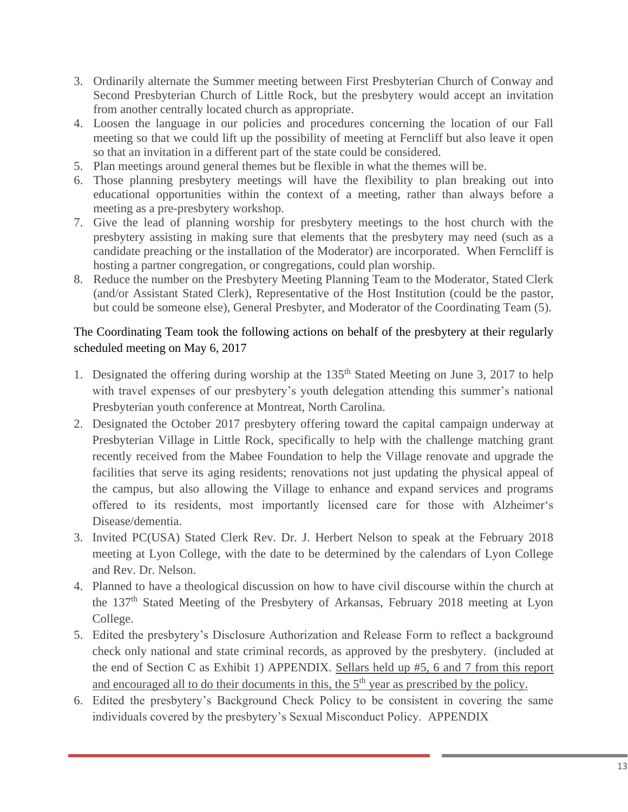- 3. Ordinarily alternate the Summer meeting between First Presbyterian Church of Conway and Second Presbyterian Church of Little Rock, but the presbytery would accept an invitation from another centrally located church as appropriate.
- 4. Loosen the language in our policies and procedures concerning the location of our Fall meeting so that we could lift up the possibility of meeting at Ferncliff but also leave it open so that an invitation in a different part of the state could be considered.
- 5. Plan meetings around general themes but be flexible in what the themes will be.
- 6. Those planning presbytery meetings will have the flexibility to plan breaking out into educational opportunities within the context of a meeting, rather than always before a meeting as a pre-presbytery workshop.
- 7. Give the lead of planning worship for presbytery meetings to the host church with the presbytery assisting in making sure that elements that the presbytery may need (such as a candidate preaching or the installation of the Moderator) are incorporated. When Ferncliff is hosting a partner congregation, or congregations, could plan worship.
- 8. Reduce the number on the Presbytery Meeting Planning Team to the Moderator, Stated Clerk (and/or Assistant Stated Clerk), Representative of the Host Institution (could be the pastor, but could be someone else), General Presbyter, and Moderator of the Coordinating Team (5).

# The Coordinating Team took the following actions on behalf of the presbytery at their regularly scheduled meeting on May 6, 2017

- 1. Designated the offering during worship at the  $135<sup>th</sup>$  Stated Meeting on June 3, 2017 to help with travel expenses of our presbytery's youth delegation attending this summer's national Presbyterian youth conference at Montreat, North Carolina.
- 2. Designated the October 2017 presbytery offering toward the capital campaign underway at Presbyterian Village in Little Rock, specifically to help with the challenge matching grant recently received from the Mabee Foundation to help the Village renovate and upgrade the facilities that serve its aging residents; renovations not just updating the physical appeal of the campus, but also allowing the Village to enhance and expand services and programs offered to its residents, most importantly licensed care for those with Alzheimer's Disease/dementia.
- 3. Invited PC(USA) Stated Clerk Rev. Dr. J. Herbert Nelson to speak at the February 2018 meeting at Lyon College, with the date to be determined by the calendars of Lyon College and Rev. Dr. Nelson.
- 4. Planned to have a theological discussion on how to have civil discourse within the church at the 137<sup>th</sup> Stated Meeting of the Presbytery of Arkansas, February 2018 meeting at Lyon College.
- 5. Edited the presbytery's Disclosure Authorization and Release Form to reflect a background check only national and state criminal records, as approved by the presbytery. (included at the end of Section C as Exhibit 1) APPENDIX. Sellars held up #5, 6 and 7 from this report and encouraged all to do their documents in this, the 5<sup>th</sup> year as prescribed by the policy.
- 6. Edited the presbytery's Background Check Policy to be consistent in covering the same individuals covered by the presbytery's Sexual Misconduct Policy. APPENDIX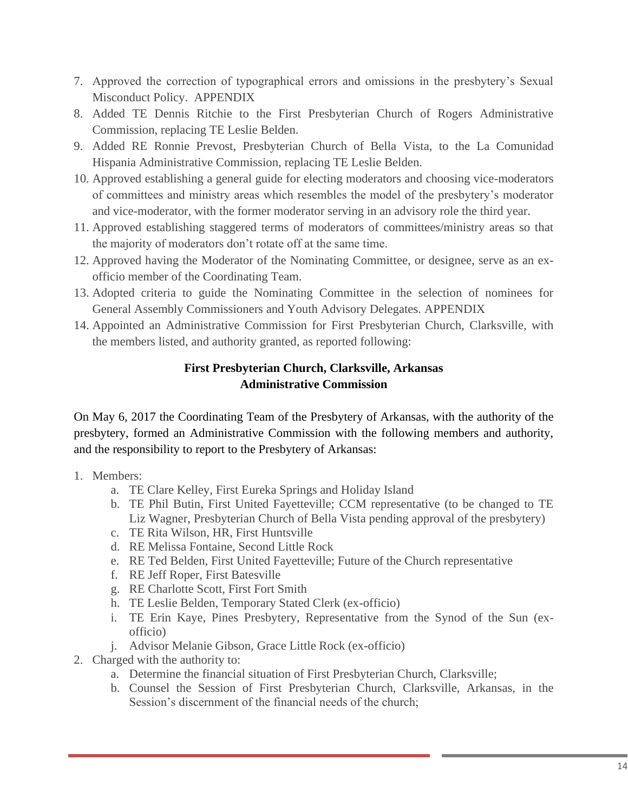- 7. Approved the correction of typographical errors and omissions in the presbytery's Sexual Misconduct Policy. APPENDIX
- 8. Added TE Dennis Ritchie to the First Presbyterian Church of Rogers Administrative Commission, replacing TE Leslie Belden.
- 9. Added RE Ronnie Prevost, Presbyterian Church of Bella Vista, to the La Comunidad Hispania Administrative Commission, replacing TE Leslie Belden.
- 10. Approved establishing a general guide for electing moderators and choosing vice-moderators of committees and ministry areas which resembles the model of the presbytery's moderator and vice-moderator, with the former moderator serving in an advisory role the third year.
- 11. Approved establishing staggered terms of moderators of committees/ministry areas so that the majority of moderators don't rotate off at the same time.
- 12. Approved having the Moderator of the Nominating Committee, or designee, serve as an exofficio member of the Coordinating Team.
- 13. Adopted criteria to guide the Nominating Committee in the selection of nominees for General Assembly Commissioners and Youth Advisory Delegates. APPENDIX
- 14. Appointed an Administrative Commission for First Presbyterian Church, Clarksville, with the members listed, and authority granted, as reported following:

# **First Presbyterian Church, Clarksville, Arkansas Administrative Commission**

On May 6, 2017 the Coordinating Team of the Presbytery of Arkansas, with the authority of the presbytery, formed an Administrative Commission with the following members and authority, and the responsibility to report to the Presbytery of Arkansas:

- 1. Members:
	- a. TE Clare Kelley, First Eureka Springs and Holiday Island
	- b. TE Phil Butin, First United Fayetteville; CCM representative (to be changed to TE Liz Wagner, Presbyterian Church of Bella Vista pending approval of the presbytery)
	- c. TE Rita Wilson, HR, First Huntsville
	- d. RE Melissa Fontaine, Second Little Rock
	- e. RE Ted Belden, First United Fayetteville; Future of the Church representative
	- f. RE Jeff Roper, First Batesville
	- g. RE Charlotte Scott, First Fort Smith
	- h. TE Leslie Belden, Temporary Stated Clerk (ex-officio)
	- i. TE Erin Kaye, Pines Presbytery, Representative from the Synod of the Sun (exofficio)
	- j. Advisor Melanie Gibson, Grace Little Rock (ex-officio)
- 2. Charged with the authority to:
	- a. Determine the financial situation of First Presbyterian Church, Clarksville;
	- b. Counsel the Session of First Presbyterian Church, Clarksville, Arkansas, in the Session's discernment of the financial needs of the church;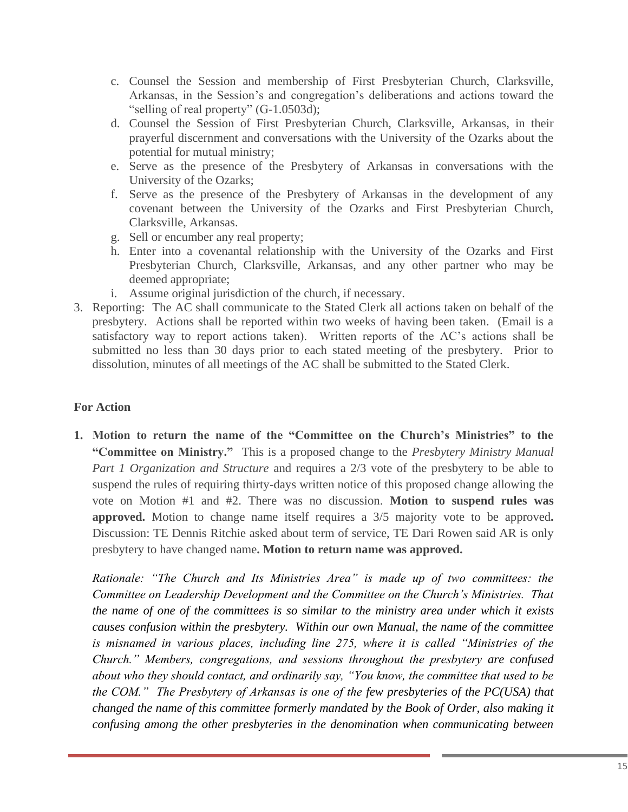- c. Counsel the Session and membership of First Presbyterian Church, Clarksville, Arkansas, in the Session's and congregation's deliberations and actions toward the "selling of real property" (G-1.0503d);
- d. Counsel the Session of First Presbyterian Church, Clarksville, Arkansas, in their prayerful discernment and conversations with the University of the Ozarks about the potential for mutual ministry;
- e. Serve as the presence of the Presbytery of Arkansas in conversations with the University of the Ozarks;
- f. Serve as the presence of the Presbytery of Arkansas in the development of any covenant between the University of the Ozarks and First Presbyterian Church, Clarksville, Arkansas.
- g. Sell or encumber any real property;
- h. Enter into a covenantal relationship with the University of the Ozarks and First Presbyterian Church, Clarksville, Arkansas, and any other partner who may be deemed appropriate;
- i. Assume original jurisdiction of the church, if necessary.
- 3. Reporting: The AC shall communicate to the Stated Clerk all actions taken on behalf of the presbytery. Actions shall be reported within two weeks of having been taken. (Email is a satisfactory way to report actions taken). Written reports of the AC's actions shall be submitted no less than 30 days prior to each stated meeting of the presbytery. Prior to dissolution, minutes of all meetings of the AC shall be submitted to the Stated Clerk.

# **For Action**

**1. Motion to return the name of the "Committee on the Church's Ministries" to the "Committee on Ministry."** This is a proposed change to the *Presbytery Ministry Manual Part 1 Organization and Structure* and requires a 2/3 vote of the presbytery to be able to suspend the rules of requiring thirty-days written notice of this proposed change allowing the vote on Motion #1 and #2. There was no discussion. **Motion to suspend rules was approved.** Motion to change name itself requires a 3/5 majority vote to be approved**.** Discussion: TE Dennis Ritchie asked about term of service, TE Dari Rowen said AR is only presbytery to have changed name**. Motion to return name was approved.** 

*Rationale: "The Church and Its Ministries Area" is made up of two committees: the Committee on Leadership Development and the Committee on the Church's Ministries. That the name of one of the committees is so similar to the ministry area under which it exists causes confusion within the presbytery. Within our own Manual, the name of the committee is misnamed in various places, including line 275, where it is called "Ministries of the Church." Members, congregations, and sessions throughout the presbytery are confused about who they should contact, and ordinarily say, "You know, the committee that used to be the COM." The Presbytery of Arkansas is one of the few presbyteries of the PC(USA) that changed the name of this committee formerly mandated by the Book of Order, also making it confusing among the other presbyteries in the denomination when communicating between*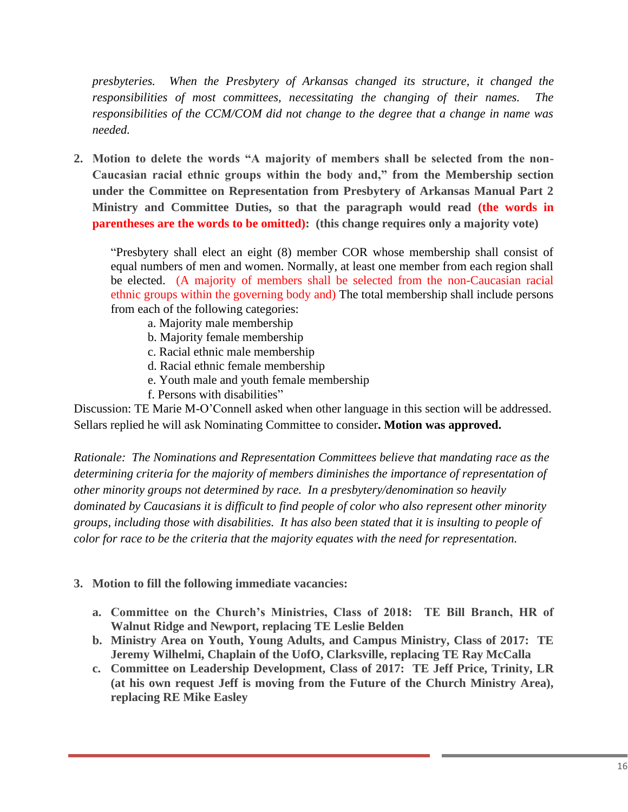*presbyteries. When the Presbytery of Arkansas changed its structure, it changed the responsibilities of most committees, necessitating the changing of their names. The responsibilities of the CCM/COM did not change to the degree that a change in name was needed.*

**2. Motion to delete the words "A majority of members shall be selected from the non-Caucasian racial ethnic groups within the body and," from the Membership section under the Committee on Representation from Presbytery of Arkansas Manual Part 2 Ministry and Committee Duties, so that the paragraph would read (the words in parentheses are the words to be omitted): (this change requires only a majority vote)**

"Presbytery shall elect an eight (8) member COR whose membership shall consist of equal numbers of men and women. Normally, at least one member from each region shall be elected. (A majority of members shall be selected from the non-Caucasian racial ethnic groups within the governing body and) The total membership shall include persons from each of the following categories:

- a. Majority male membership
- b. Majority female membership
- c. Racial ethnic male membership
- d. Racial ethnic female membership
- e. Youth male and youth female membership
- f. Persons with disabilities"

Discussion: TE Marie M-O'Connell asked when other language in this section will be addressed. Sellars replied he will ask Nominating Committee to consider**. Motion was approved.**

*Rationale: The Nominations and Representation Committees believe that mandating race as the determining criteria for the majority of members diminishes the importance of representation of other minority groups not determined by race. In a presbytery/denomination so heavily dominated by Caucasians it is difficult to find people of color who also represent other minority groups, including those with disabilities. It has also been stated that it is insulting to people of color for race to be the criteria that the majority equates with the need for representation.*

- **3. Motion to fill the following immediate vacancies:**
	- **a. Committee on the Church's Ministries, Class of 2018: TE Bill Branch, HR of Walnut Ridge and Newport, replacing TE Leslie Belden**
	- **b. Ministry Area on Youth, Young Adults, and Campus Ministry, Class of 2017: TE Jeremy Wilhelmi, Chaplain of the UofO, Clarksville, replacing TE Ray McCalla**
	- **c. Committee on Leadership Development, Class of 2017: TE Jeff Price, Trinity, LR (at his own request Jeff is moving from the Future of the Church Ministry Area), replacing RE Mike Easley**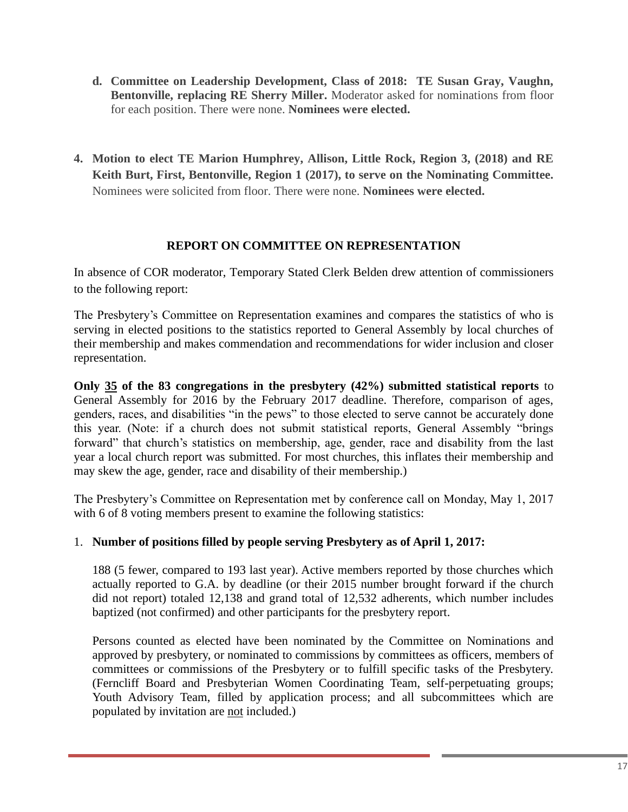- **d. Committee on Leadership Development, Class of 2018: TE Susan Gray, Vaughn, Bentonville, replacing RE Sherry Miller.** Moderator asked for nominations from floor for each position. There were none. **Nominees were elected.**
- **4. Motion to elect TE Marion Humphrey, Allison, Little Rock, Region 3, (2018) and RE Keith Burt, First, Bentonville, Region 1 (2017), to serve on the Nominating Committee.**  Nominees were solicited from floor. There were none. **Nominees were elected.**

## **REPORT ON COMMITTEE ON REPRESENTATION**

In absence of COR moderator, Temporary Stated Clerk Belden drew attention of commissioners to the following report:

The Presbytery's Committee on Representation examines and compares the statistics of who is serving in elected positions to the statistics reported to General Assembly by local churches of their membership and makes commendation and recommendations for wider inclusion and closer representation.

**Only 35 of the 83 congregations in the presbytery (42%) submitted statistical reports** to General Assembly for  $2016$  by the February 2017 deadline. Therefore, comparison of ages, genders, races, and disabilities "in the pews" to those elected to serve cannot be accurately done this year. (Note: if a church does not submit statistical reports, General Assembly "brings forward" that church's statistics on membership, age, gender, race and disability from the last year a local church report was submitted. For most churches, this inflates their membership and may skew the age, gender, race and disability of their membership.)

The Presbytery's Committee on Representation met by conference call on Monday, May 1, 2017 with 6 of 8 voting members present to examine the following statistics:

## 1. **Number of positions filled by people serving Presbytery as of April 1, 2017:**

188 (5 fewer, compared to 193 last year). Active members reported by those churches which actually reported to G.A. by deadline (or their 2015 number brought forward if the church did not report) totaled 12,138 and grand total of 12,532 adherents, which number includes baptized (not confirmed) and other participants for the presbytery report.

Persons counted as elected have been nominated by the Committee on Nominations and approved by presbytery, or nominated to commissions by committees as officers, members of committees or commissions of the Presbytery or to fulfill specific tasks of the Presbytery. (Ferncliff Board and Presbyterian Women Coordinating Team, self-perpetuating groups; Youth Advisory Team, filled by application process; and all subcommittees which are populated by invitation are not included.)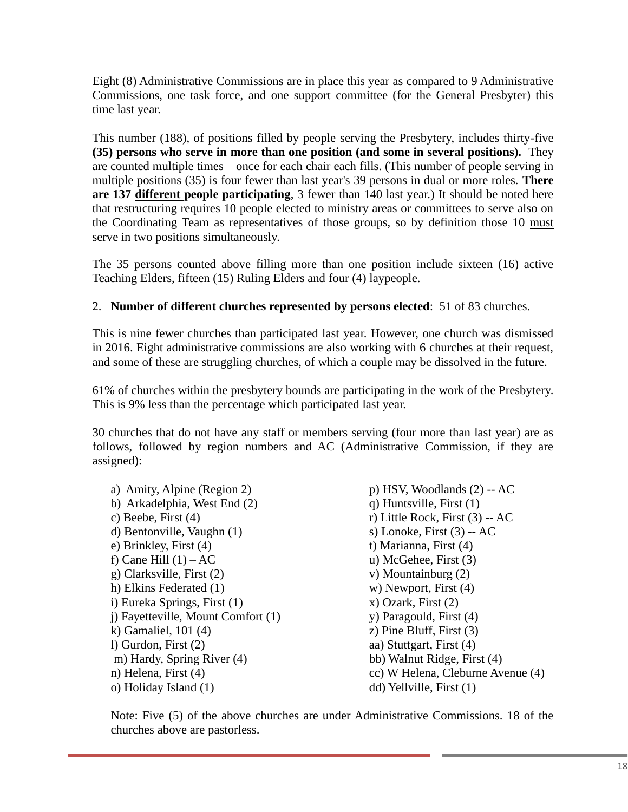Eight (8) Administrative Commissions are in place this year as compared to 9 Administrative Commissions, one task force, and one support committee (for the General Presbyter) this time last year.

This number (188), of positions filled by people serving the Presbytery, includes thirty-five **(35) persons who serve in more than one position (and some in several positions).** They are counted multiple times – once for each chair each fills. (This number of people serving in multiple positions (35) is four fewer than last year's 39 persons in dual or more roles. **There are 137 different people participating**, 3 fewer than 140 last year.) It should be noted here that restructuring requires 10 people elected to ministry areas or committees to serve also on the Coordinating Team as representatives of those groups, so by definition those 10 must serve in two positions simultaneously.

The 35 persons counted above filling more than one position include sixteen (16) active Teaching Elders, fifteen (15) Ruling Elders and four (4) laypeople.

# 2. **Number of different churches represented by persons elected**: 51 of 83 churches.

This is nine fewer churches than participated last year. However, one church was dismissed in 2016. Eight administrative commissions are also working with 6 churches at their request, and some of these are struggling churches, of which a couple may be dissolved in the future.

61% of churches within the presbytery bounds are participating in the work of the Presbytery. This is 9% less than the percentage which participated last year.

30 churches that do not have any staff or members serving (four more than last year) are as follows, followed by region numbers and AC (Administrative Commission, if they are assigned):

| a) Amity, Alpine (Region 2)        | $p)$ HSV, Woodlands $(2)$ -- AC   |
|------------------------------------|-----------------------------------|
| b) Arkadelphia, West End (2)       | q) Huntsville, First $(1)$        |
| c) Beebe, First $(4)$              | r) Little Rock, First $(3)$ -- AC |
| d) Bentonville, Vaughn (1)         | s) Lonoke, First $(3)$ -- AC      |
| e) Brinkley, First $(4)$           | t) Marianna, First (4)            |
| f) Cane Hill $(1) - AC$            | $u)$ McGehee, First $(3)$         |
| g) Clarksville, First (2)          | v) Mountainburg $(2)$             |
| h) Elkins Federated (1)            | w) Newport, First $(4)$           |
| i) Eureka Springs, First (1)       | $(x)$ Ozark, First $(2)$          |
| j) Fayetteville, Mount Comfort (1) | y) Paragould, First (4)           |
| k) Gamaliel, $101(4)$              | $z)$ Pine Bluff, First $(3)$      |
| $l)$ Gurdon, First $(2)$           | aa) Stuttgart, First (4)          |
| m) Hardy, Spring River (4)         | bb) Walnut Ridge, First (4)       |
| n) Helena, First $(4)$             | cc) W Helena, Cleburne Avenue (4) |
| o) Holiday Island (1)              | dd) Yellville, First (1)          |

Note: Five (5) of the above churches are under Administrative Commissions. 18 of the churches above are pastorless.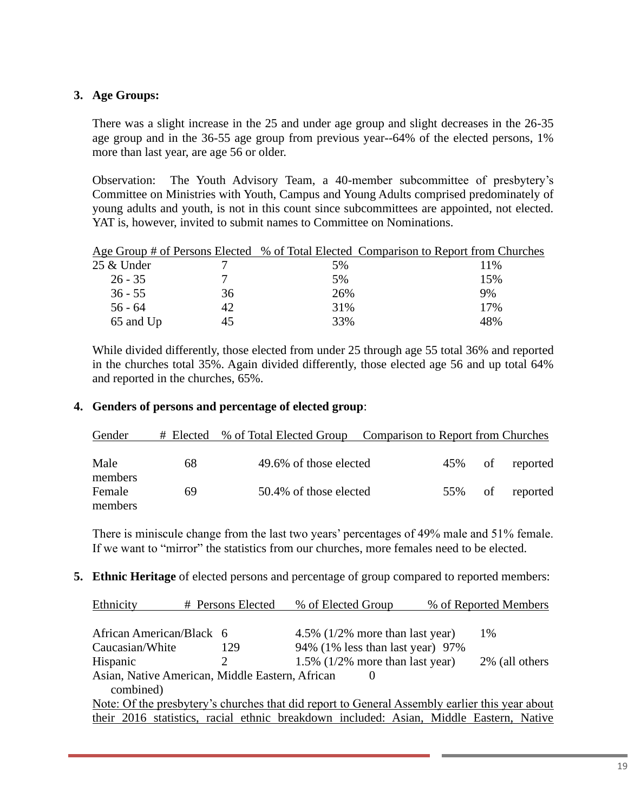### **3. Age Groups:**

There was a slight increase in the 25 and under age group and slight decreases in the 26-35 age group and in the 36-55 age group from previous year--64% of the elected persons, 1% more than last year, are age 56 or older.

Observation: The Youth Advisory Team, a 40-member subcommittee of presbytery's Committee on Ministries with Youth, Campus and Young Adults comprised predominately of young adults and youth, is not in this count since subcommittees are appointed, not elected. YAT is, however, invited to submit names to Committee on Nominations.

|            |    | Age Group # of Persons Elected % of Total Elected Comparison to Report from Churches |      |
|------------|----|--------------------------------------------------------------------------------------|------|
| 25 & Under |    | 5%                                                                                   | 11\% |
| $26 - 35$  |    | 5%                                                                                   | 15%  |
| $36 - 55$  | 36 | 26%                                                                                  | 9%   |
| $56 - 64$  | 42 | 31%                                                                                  | 17%  |
| 65 and Up  |    | 33%                                                                                  | 48%  |

While divided differently, those elected from under 25 through age 55 total 36% and reported in the churches total 35%. Again divided differently, those elected age 56 and up total 64% and reported in the churches, 65%.

#### **4. Genders of persons and percentage of elected group**:

| Gender            |    | # Elected % of Total Elected Group Comparison to Report from Churches |     |    |          |
|-------------------|----|-----------------------------------------------------------------------|-----|----|----------|
| Male<br>members   | 68 | 49.6% of those elected                                                | 45% | of | reported |
| Female<br>members | 69 | 50.4% of those elected                                                | 55% | of | reported |

There is miniscule change from the last two years' percentages of 49% male and 51% female. If we want to "mirror" the statistics from our churches, more females need to be elected.

**5. Ethnic Heritage** of elected persons and percentage of group compared to reported members:

| Ethnicity                | # Persons Elected                               | % of Elected Group                                                                             | % of Reported Members |                |  |
|--------------------------|-------------------------------------------------|------------------------------------------------------------------------------------------------|-----------------------|----------------|--|
|                          |                                                 |                                                                                                |                       |                |  |
| African American/Black 6 |                                                 | 4.5% $(1/2%$ more than last year)                                                              |                       | 1\%            |  |
| Caucasian/White          | 129                                             | 94% (1% less than last year) 97%                                                               |                       |                |  |
| Hispanic                 |                                                 | 1.5% $(1/2%$ more than last year)                                                              |                       | 2% (all others |  |
|                          | Asian, Native American, Middle Eastern, African |                                                                                                |                       |                |  |
| combined)                |                                                 |                                                                                                |                       |                |  |
|                          |                                                 | Note: Of the presbytery's churches that did report to General Assembly earlier this year about |                       |                |  |
|                          |                                                 | their 2016 statistics, racial ethnic breakdown included: Asian, Middle Eastern, Native         |                       |                |  |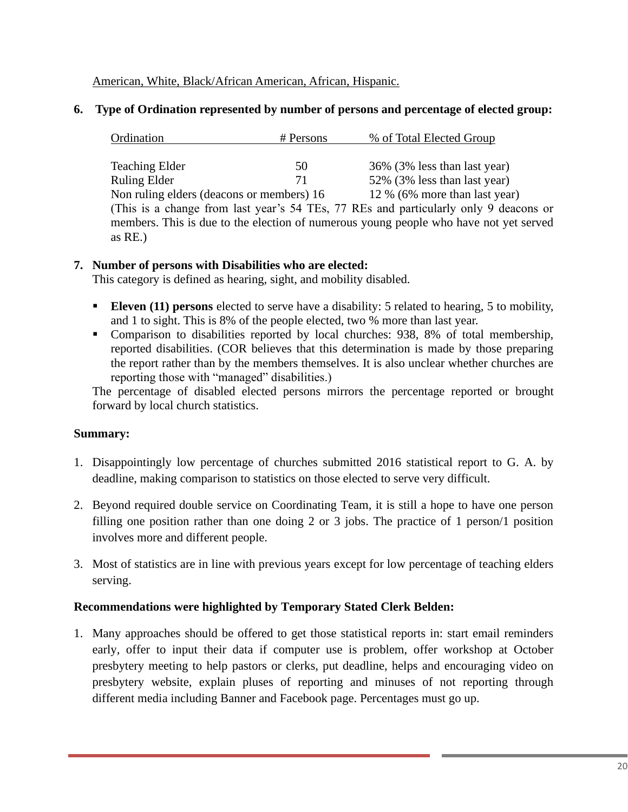American, White, Black/African American, African, Hispanic.

### **6. Type of Ordination represented by number of persons and percentage of elected group:**

| Ordination                                                                           | # Persons | % of Total Elected Group                                                              |  |  |
|--------------------------------------------------------------------------------------|-----------|---------------------------------------------------------------------------------------|--|--|
|                                                                                      |           |                                                                                       |  |  |
| <b>Teaching Elder</b>                                                                | 50        | 36% (3% less than last year)                                                          |  |  |
| <b>Ruling Elder</b>                                                                  | 71        | 52% (3% less than last year)                                                          |  |  |
| Non ruling elders (deacons or members) 16                                            |           | 12 % (6% more than last year)                                                         |  |  |
| (This is a change from last year's 54 TEs, 77 REs and particularly only 9 deacons or |           |                                                                                       |  |  |
|                                                                                      |           | members. This is due to the election of numerous young people who have not yet served |  |  |

### **7. Number of persons with Disabilities who are elected:**

This category is defined as hearing, sight, and mobility disabled.

- **Eleven (11) persons** elected to serve have a disability: 5 related to hearing, 5 to mobility, and 1 to sight. This is 8% of the people elected, two % more than last year.
- Comparison to disabilities reported by local churches: 938, 8% of total membership, reported disabilities. (COR believes that this determination is made by those preparing the report rather than by the members themselves. It is also unclear whether churches are reporting those with "managed" disabilities.)

The percentage of disabled elected persons mirrors the percentage reported or brought forward by local church statistics.

## **Summary:**

as RE.)

- 1. Disappointingly low percentage of churches submitted 2016 statistical report to G. A. by deadline, making comparison to statistics on those elected to serve very difficult.
- 2. Beyond required double service on Coordinating Team, it is still a hope to have one person filling one position rather than one doing 2 or 3 jobs. The practice of 1 person/1 position involves more and different people.
- 3. Most of statistics are in line with previous years except for low percentage of teaching elders serving.

#### **Recommendations were highlighted by Temporary Stated Clerk Belden:**

1. Many approaches should be offered to get those statistical reports in: start email reminders early, offer to input their data if computer use is problem, offer workshop at October presbytery meeting to help pastors or clerks, put deadline, helps and encouraging video on presbytery website, explain pluses of reporting and minuses of not reporting through different media including Banner and Facebook page. Percentages must go up.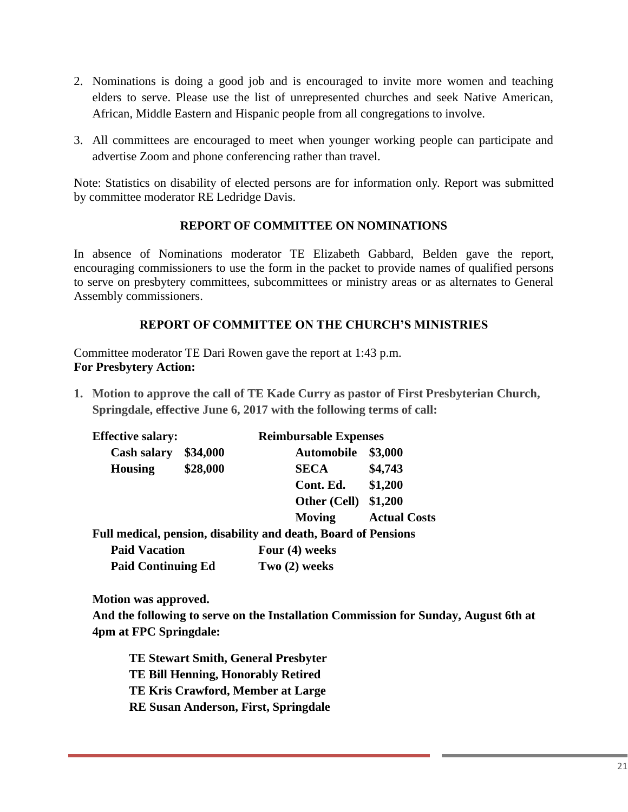- 2. Nominations is doing a good job and is encouraged to invite more women and teaching elders to serve. Please use the list of unrepresented churches and seek Native American, African, Middle Eastern and Hispanic people from all congregations to involve.
- 3. All committees are encouraged to meet when younger working people can participate and advertise Zoom and phone conferencing rather than travel.

Note: Statistics on disability of elected persons are for information only. Report was submitted by committee moderator RE Ledridge Davis.

# **REPORT OF COMMITTEE ON NOMINATIONS**

In absence of Nominations moderator TE Elizabeth Gabbard, Belden gave the report, encouraging commissioners to use the form in the packet to provide names of qualified persons to serve on presbytery committees, subcommittees or ministry areas or as alternates to General Assembly commissioners.

# **REPORT OF COMMITTEE ON THE CHURCH'S MINISTRIES**

Committee moderator TE Dari Rowen gave the report at 1:43 p.m. **For Presbytery Action:**

**1. Motion to approve the call of TE Kade Curry as pastor of First Presbyterian Church, Springdale, effective June 6, 2017 with the following terms of call:**

| <b>Effective salary:</b> |          | <b>Reimbursable Expenses</b> |                     |  |  |
|--------------------------|----------|------------------------------|---------------------|--|--|
| <b>Cash salary</b>       | \$34,000 | <b>Automobile</b>            | \$3,000             |  |  |
| <b>Housing</b>           | \$28,000 | <b>SECA</b>                  | \$4,743             |  |  |
|                          |          | Cont. Ed.                    | \$1,200             |  |  |
|                          |          | <b>Other (Cell) \$1,200</b>  |                     |  |  |
|                          |          | Moving                       | <b>Actual Costs</b> |  |  |
| - -<br>. .               | .        | <u>ת ת</u> ת                 |                     |  |  |

**Full medical, pension, disability and death, Board of Pensions Paid Vacation Four (4) weeks**

| <b>Paid Continuing Ed</b> | Two $(2)$ weeks |
|---------------------------|-----------------|

**Motion was approved.**

**And the following to serve on the Installation Commission for Sunday, August 6th at 4pm at FPC Springdale:**

**TE Stewart Smith, General Presbyter TE Bill Henning, Honorably Retired TE Kris Crawford, Member at Large RE Susan Anderson, First, Springdale**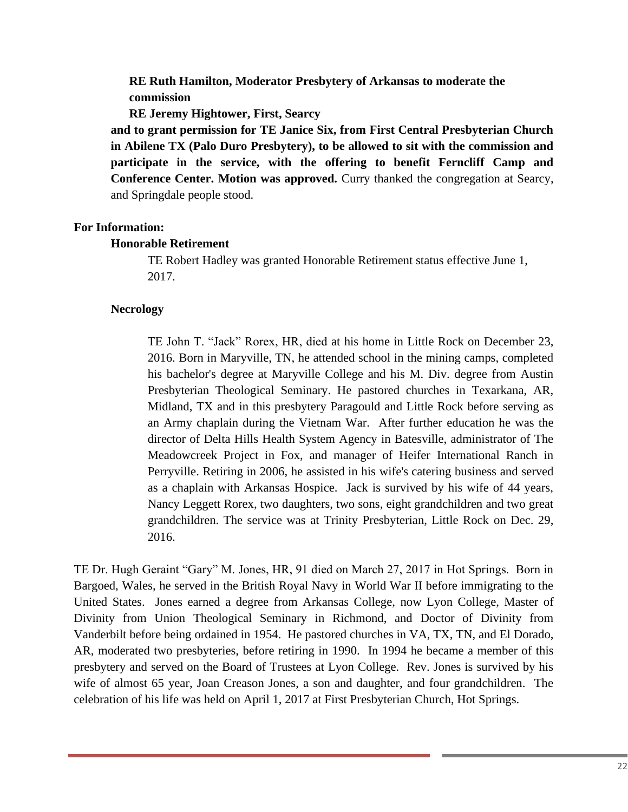**RE Ruth Hamilton, Moderator Presbytery of Arkansas to moderate the commission**

**RE Jeremy Hightower, First, Searcy** 

**and to grant permission for TE Janice Six, from First Central Presbyterian Church in Abilene TX (Palo Duro Presbytery), to be allowed to sit with the commission and participate in the service, with the offering to benefit Ferncliff Camp and Conference Center. Motion was approved.** Curry thanked the congregation at Searcy, and Springdale people stood.

#### **For Information:**

#### **Honorable Retirement**

TE Robert Hadley was granted Honorable Retirement status effective June 1, 2017.

#### **Necrology**

TE John T. "Jack" Rorex, HR, died at his home in Little Rock on December 23, 2016. Born in Maryville, TN, he attended school in the mining camps, completed his bachelor's degree at Maryville College and his M. Div. degree from Austin Presbyterian Theological Seminary. He pastored churches in Texarkana, AR, Midland, TX and in this presbytery Paragould and Little Rock before serving as an Army chaplain during the Vietnam War. After further education he was the director of Delta Hills Health System Agency in Batesville, administrator of The Meadowcreek Project in Fox, and manager of Heifer International Ranch in Perryville. Retiring in 2006, he assisted in his wife's catering business and served as a chaplain with Arkansas Hospice. Jack is survived by his wife of 44 years, Nancy Leggett Rorex, two daughters, two sons, eight grandchildren and two great grandchildren. The service was at Trinity Presbyterian, Little Rock on Dec. 29, 2016.

TE Dr. Hugh Geraint "Gary" M. Jones, HR, 91 died on March 27, 2017 in Hot Springs. Born in Bargoed, Wales, he served in the British Royal Navy in World War II before immigrating to the United States. Jones earned a degree from Arkansas College, now Lyon College, Master of Divinity from Union Theological Seminary in Richmond, and Doctor of Divinity from Vanderbilt before being ordained in 1954. He pastored churches in VA, TX, TN, and El Dorado, AR, moderated two presbyteries, before retiring in 1990. In 1994 he became a member of this presbytery and served on the Board of Trustees at Lyon College. Rev. Jones is survived by his wife of almost 65 year, Joan Creason Jones, a son and daughter, and four grandchildren. The celebration of his life was held on April 1, 2017 at First Presbyterian Church, Hot Springs.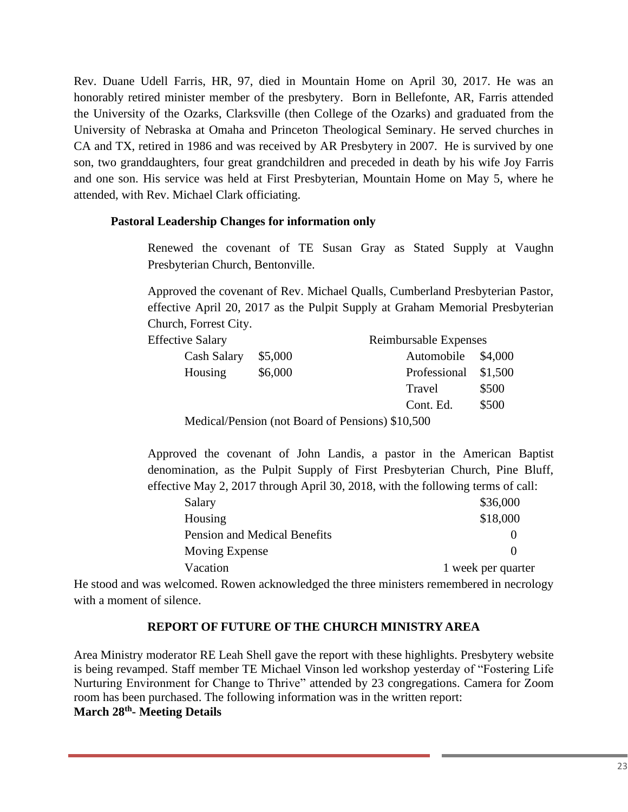Rev. Duane Udell Farris, HR, 97, died in Mountain Home on April 30, 2017. He was an honorably retired minister member of the presbytery. Born in Bellefonte, AR, Farris attended the University of the Ozarks, Clarksville (then College of the Ozarks) and graduated from the University of Nebraska at Omaha and Princeton Theological Seminary. He served churches in CA and TX, retired in 1986 and was received by AR Presbytery in 2007. He is survived by one son, two granddaughters, four great grandchildren and preceded in death by his wife Joy Farris and one son. His service was held at First Presbyterian, Mountain Home on May 5, where he attended, with Rev. Michael Clark officiating.

### **Pastoral Leadership Changes for information only**

Renewed the covenant of TE Susan Gray as Stated Supply at Vaughn Presbyterian Church, Bentonville.

Approved the covenant of Rev. Michael Qualls, Cumberland Presbyterian Pastor, effective April 20, 2017 as the Pulpit Supply at Graham Memorial Presbyterian Church, Forrest City.

| <b>Effective Salary</b>                                                                                                                                                                                                                                                                                                           |  | Reimbursable Expenses |  |                      |       |
|-----------------------------------------------------------------------------------------------------------------------------------------------------------------------------------------------------------------------------------------------------------------------------------------------------------------------------------|--|-----------------------|--|----------------------|-------|
| Cash Salary<br>\$5,000<br>\$6,000<br>Housing                                                                                                                                                                                                                                                                                      |  |                       |  | Automobile \$4,000   |       |
|                                                                                                                                                                                                                                                                                                                                   |  |                       |  | Professional \$1,500 |       |
|                                                                                                                                                                                                                                                                                                                                   |  |                       |  | Travel               | \$500 |
|                                                                                                                                                                                                                                                                                                                                   |  |                       |  | Cont. Ed.            | \$500 |
| $\mathbf{M}$ 1 $\mathbf{D}$ $\mathbf{D}$ $\mathbf{D}$ $\mathbf{D}$ $\mathbf{D}$ $\mathbf{D}$ $\mathbf{D}$ $\mathbf{D}$ $\mathbf{D}$ $\mathbf{D}$ $\mathbf{D}$ $\mathbf{D}$ $\mathbf{D}$ $\mathbf{D}$ $\mathbf{D}$ $\mathbf{D}$ $\mathbf{D}$ $\mathbf{D}$ $\mathbf{D}$ $\mathbf{D}$ $\mathbf{D}$ $\mathbf{D}$ $\mathbf{D}$ $\math$ |  |                       |  |                      |       |

Medical/Pension (not Board of Pensions) \$10,500

Approved the covenant of John Landis, a pastor in the American Baptist denomination, as the Pulpit Supply of First Presbyterian Church, Pine Bluff, effective May 2, 2017 through April 30, 2018, with the following terms of call:

| Salary                       | \$36,000           |
|------------------------------|--------------------|
| Housing                      | \$18,000           |
| Pension and Medical Benefits |                    |
| Moving Expense               |                    |
| Vacation                     | 1 week per quarter |
|                              |                    |

He stood and was welcomed. Rowen acknowledged the three ministers remembered in necrology with a moment of silence.

## **REPORT OF FUTURE OF THE CHURCH MINISTRY AREA**

Area Ministry moderator RE Leah Shell gave the report with these highlights. Presbytery website is being revamped. Staff member TE Michael Vinson led workshop yesterday of "Fostering Life Nurturing Environment for Change to Thrive" attended by 23 congregations. Camera for Zoom room has been purchased. The following information was in the written report: **March 28th - Meeting Details**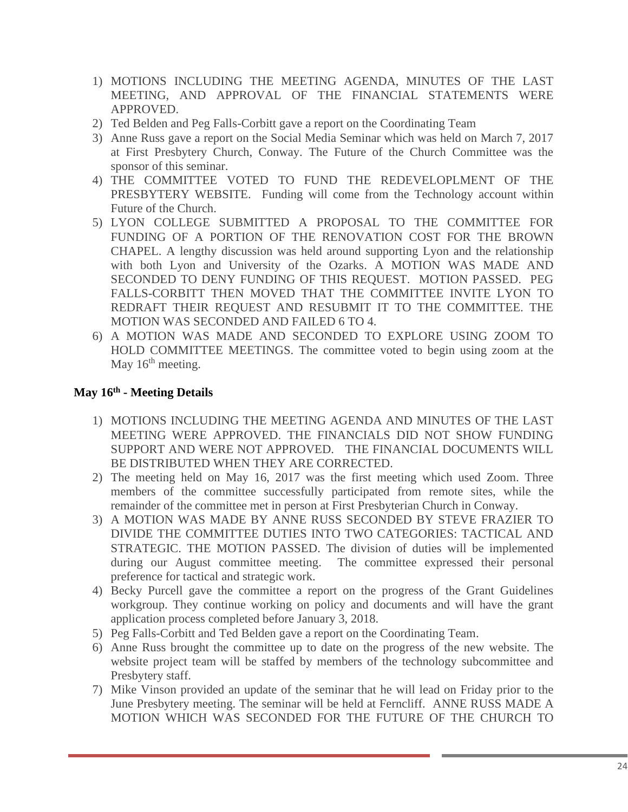- 1) MOTIONS INCLUDING THE MEETING AGENDA, MINUTES OF THE LAST MEETING, AND APPROVAL OF THE FINANCIAL STATEMENTS WERE APPROVED.
- 2) Ted Belden and Peg Falls-Corbitt gave a report on the Coordinating Team
- 3) Anne Russ gave a report on the Social Media Seminar which was held on March 7, 2017 at First Presbytery Church, Conway. The Future of the Church Committee was the sponsor of this seminar.
- 4) THE COMMITTEE VOTED TO FUND THE REDEVELOPLMENT OF THE PRESBYTERY WEBSITE. Funding will come from the Technology account within Future of the Church.
- 5) LYON COLLEGE SUBMITTED A PROPOSAL TO THE COMMITTEE FOR FUNDING OF A PORTION OF THE RENOVATION COST FOR THE BROWN CHAPEL. A lengthy discussion was held around supporting Lyon and the relationship with both Lyon and University of the Ozarks. A MOTION WAS MADE AND SECONDED TO DENY FUNDING OF THIS REQUEST. MOTION PASSED. PEG FALLS-CORBITT THEN MOVED THAT THE COMMITTEE INVITE LYON TO REDRAFT THEIR REQUEST AND RESUBMIT IT TO THE COMMITTEE. THE MOTION WAS SECONDED AND FAILED 6 TO 4.
- 6) A MOTION WAS MADE AND SECONDED TO EXPLORE USING ZOOM TO HOLD COMMITTEE MEETINGS. The committee voted to begin using zoom at the May 16<sup>th</sup> meeting.

# **May 16th - Meeting Details**

- 1) MOTIONS INCLUDING THE MEETING AGENDA AND MINUTES OF THE LAST MEETING WERE APPROVED. THE FINANCIALS DID NOT SHOW FUNDING SUPPORT AND WERE NOT APPROVED. THE FINANCIAL DOCUMENTS WILL BE DISTRIBUTED WHEN THEY ARE CORRECTED.
- 2) The meeting held on May 16, 2017 was the first meeting which used Zoom. Three members of the committee successfully participated from remote sites, while the remainder of the committee met in person at First Presbyterian Church in Conway.
- 3) A MOTION WAS MADE BY ANNE RUSS SECONDED BY STEVE FRAZIER TO DIVIDE THE COMMITTEE DUTIES INTO TWO CATEGORIES: TACTICAL AND STRATEGIC. THE MOTION PASSED. The division of duties will be implemented during our August committee meeting. The committee expressed their personal preference for tactical and strategic work.
- 4) Becky Purcell gave the committee a report on the progress of the Grant Guidelines workgroup. They continue working on policy and documents and will have the grant application process completed before January 3, 2018.
- 5) Peg Falls-Corbitt and Ted Belden gave a report on the Coordinating Team.
- 6) Anne Russ brought the committee up to date on the progress of the new website. The website project team will be staffed by members of the technology subcommittee and Presbytery staff.
- 7) Mike Vinson provided an update of the seminar that he will lead on Friday prior to the June Presbytery meeting. The seminar will be held at Ferncliff. ANNE RUSS MADE A MOTION WHICH WAS SECONDED FOR THE FUTURE OF THE CHURCH TO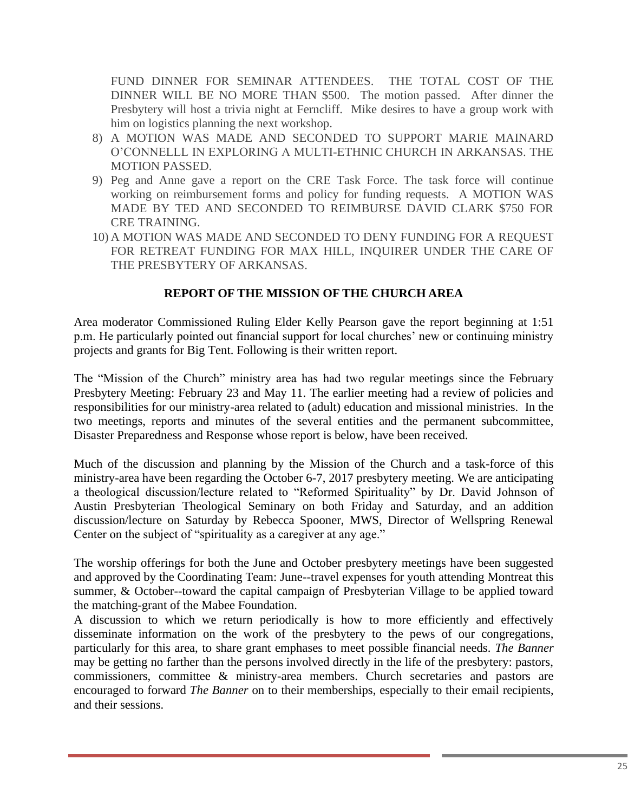FUND DINNER FOR SEMINAR ATTENDEES. THE TOTAL COST OF THE DINNER WILL BE NO MORE THAN \$500. The motion passed. After dinner the Presbytery will host a trivia night at Ferncliff. Mike desires to have a group work with him on logistics planning the next workshop.

- 8) A MOTION WAS MADE AND SECONDED TO SUPPORT MARIE MAINARD O'CONNELLL IN EXPLORING A MULTI-ETHNIC CHURCH IN ARKANSAS. THE MOTION PASSED.
- 9) Peg and Anne gave a report on the CRE Task Force. The task force will continue working on reimbursement forms and policy for funding requests. A MOTION WAS MADE BY TED AND SECONDED TO REIMBURSE DAVID CLARK \$750 FOR CRE TRAINING.
- 10) A MOTION WAS MADE AND SECONDED TO DENY FUNDING FOR A REQUEST FOR RETREAT FUNDING FOR MAX HILL, INQUIRER UNDER THE CARE OF THE PRESBYTERY OF ARKANSAS.

## **REPORT OF THE MISSION OF THE CHURCH AREA**

Area moderator Commissioned Ruling Elder Kelly Pearson gave the report beginning at 1:51 p.m. He particularly pointed out financial support for local churches' new or continuing ministry projects and grants for Big Tent. Following is their written report.

The "Mission of the Church" ministry area has had two regular meetings since the February Presbytery Meeting: February 23 and May 11. The earlier meeting had a review of policies and responsibilities for our ministry-area related to (adult) education and missional ministries. In the two meetings, reports and minutes of the several entities and the permanent subcommittee, Disaster Preparedness and Response whose report is below, have been received.

Much of the discussion and planning by the Mission of the Church and a task-force of this ministry-area have been regarding the October 6-7, 2017 presbytery meeting. We are anticipating a theological discussion/lecture related to "Reformed Spirituality" by Dr. David Johnson of Austin Presbyterian Theological Seminary on both Friday and Saturday, and an addition discussion/lecture on Saturday by Rebecca Spooner, MWS, Director of Wellspring Renewal Center on the subject of "spirituality as a caregiver at any age."

The worship offerings for both the June and October presbytery meetings have been suggested and approved by the Coordinating Team: June--travel expenses for youth attending Montreat this summer, & October--toward the capital campaign of Presbyterian Village to be applied toward the matching-grant of the Mabee Foundation.

A discussion to which we return periodically is how to more efficiently and effectively disseminate information on the work of the presbytery to the pews of our congregations, particularly for this area, to share grant emphases to meet possible financial needs. *The Banner*  may be getting no farther than the persons involved directly in the life of the presbytery: pastors, commissioners, committee & ministry-area members. Church secretaries and pastors are encouraged to forward *The Banner* on to their memberships, especially to their email recipients, and their sessions.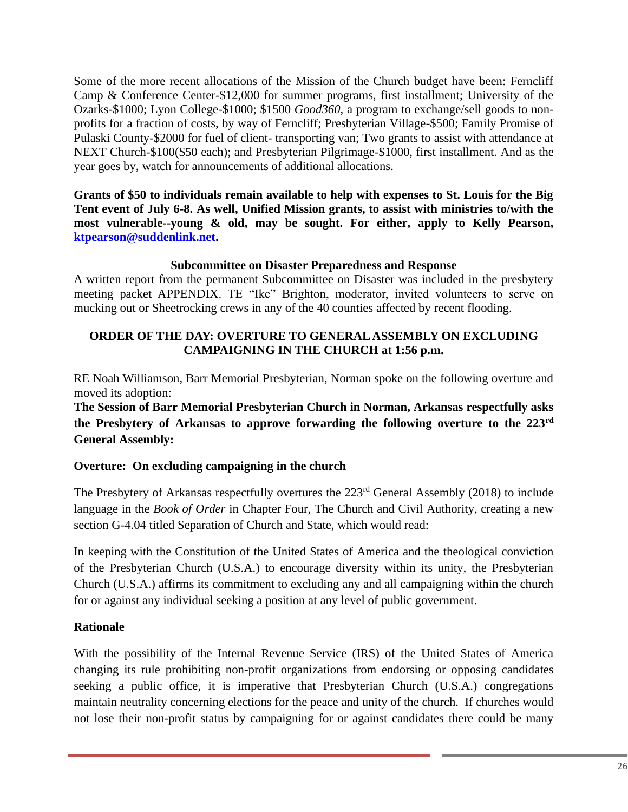Some of the more recent allocations of the Mission of the Church budget have been: Ferncliff Camp & Conference Center-\$12,000 for summer programs, first installment; University of the Ozarks-\$1000; Lyon College-\$1000; \$1500 *Good360,* a program to exchange/sell goods to nonprofits for a fraction of costs, by way of Ferncliff; Presbyterian Village-\$500; Family Promise of Pulaski County-\$2000 for fuel of client- transporting van; Two grants to assist with attendance at NEXT Church-\$100(\$50 each); and Presbyterian Pilgrimage-\$1000, first installment. And as the year goes by, watch for announcements of additional allocations.

**Grants of \$50 to individuals remain available to help with expenses to St. Louis for the Big Tent event of July 6-8. As well, Unified Mission grants, to assist with ministries to/with the most vulnerable--young & old, may be sought. For either, apply to Kelly Pearson, ktpearson@suddenlink.net.** 

## **Subcommittee on Disaster Preparedness and Response**

A written report from the permanent Subcommittee on Disaster was included in the presbytery meeting packet APPENDIX. TE "Ike" Brighton, moderator, invited volunteers to serve on mucking out or Sheetrocking crews in any of the 40 counties affected by recent flooding.

# **ORDER OF THE DAY: OVERTURE TO GENERAL ASSEMBLY ON EXCLUDING CAMPAIGNING IN THE CHURCH at 1:56 p.m.**

RE Noah Williamson, Barr Memorial Presbyterian, Norman spoke on the following overture and moved its adoption:

**The Session of Barr Memorial Presbyterian Church in Norman, Arkansas respectfully asks the Presbytery of Arkansas to approve forwarding the following overture to the 223rd General Assembly:**

## **Overture: On excluding campaigning in the church**

The Presbytery of Arkansas respectfully overtures the 223<sup>rd</sup> General Assembly (2018) to include language in the *Book of Order* in Chapter Four, The Church and Civil Authority, creating a new section G-4.04 titled Separation of Church and State, which would read:

In keeping with the Constitution of the United States of America and the theological conviction of the Presbyterian Church (U.S.A.) to encourage diversity within its unity, the Presbyterian Church (U.S.A.) affirms its commitment to excluding any and all campaigning within the church for or against any individual seeking a position at any level of public government.

## **Rationale**

With the possibility of the Internal Revenue Service (IRS) of the United States of America changing its rule prohibiting non-profit organizations from endorsing or opposing candidates seeking a public office, it is imperative that Presbyterian Church (U.S.A.) congregations maintain neutrality concerning elections for the peace and unity of the church. If churches would not lose their non-profit status by campaigning for or against candidates there could be many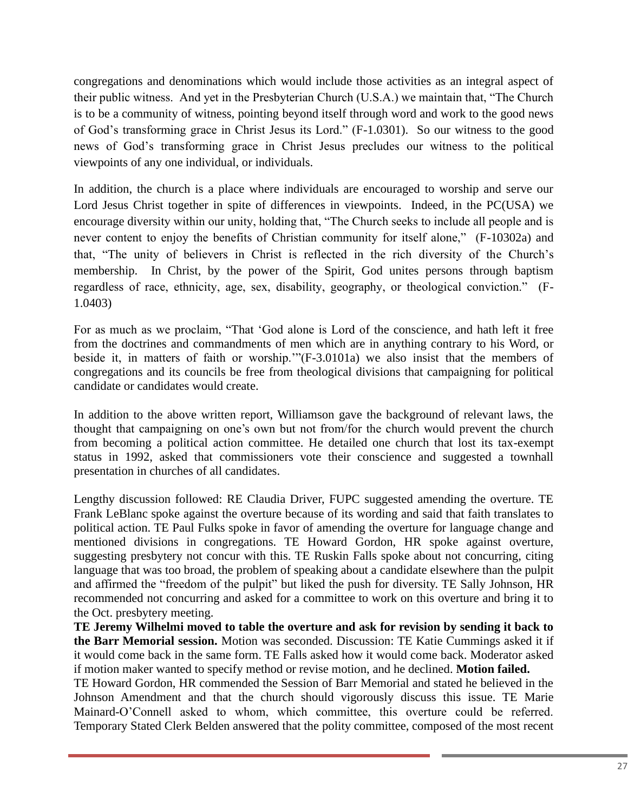congregations and denominations which would include those activities as an integral aspect of their public witness. And yet in the Presbyterian Church (U.S.A.) we maintain that, "The Church is to be a community of witness, pointing beyond itself through word and work to the good news of God's transforming grace in Christ Jesus its Lord." (F-1.0301). So our witness to the good news of God's transforming grace in Christ Jesus precludes our witness to the political viewpoints of any one individual, or individuals.

In addition, the church is a place where individuals are encouraged to worship and serve our Lord Jesus Christ together in spite of differences in viewpoints. Indeed, in the PC(USA) we encourage diversity within our unity, holding that, "The Church seeks to include all people and is never content to enjoy the benefits of Christian community for itself alone," (F-10302a) and that, "The unity of believers in Christ is reflected in the rich diversity of the Church's membership. In Christ, by the power of the Spirit, God unites persons through baptism regardless of race, ethnicity, age, sex, disability, geography, or theological conviction." (F-1.0403)

For as much as we proclaim, "That 'God alone is Lord of the conscience, and hath left it free from the doctrines and commandments of men which are in anything contrary to his Word, or beside it, in matters of faith or worship.'"(F-3.0101a) we also insist that the members of congregations and its councils be free from theological divisions that campaigning for political candidate or candidates would create.

In addition to the above written report, Williamson gave the background of relevant laws, the thought that campaigning on one's own but not from/for the church would prevent the church from becoming a political action committee. He detailed one church that lost its tax-exempt status in 1992, asked that commissioners vote their conscience and suggested a townhall presentation in churches of all candidates.

Lengthy discussion followed: RE Claudia Driver, FUPC suggested amending the overture. TE Frank LeBlanc spoke against the overture because of its wording and said that faith translates to political action. TE Paul Fulks spoke in favor of amending the overture for language change and mentioned divisions in congregations. TE Howard Gordon, HR spoke against overture, suggesting presbytery not concur with this. TE Ruskin Falls spoke about not concurring, citing language that was too broad, the problem of speaking about a candidate elsewhere than the pulpit and affirmed the "freedom of the pulpit" but liked the push for diversity. TE Sally Johnson, HR recommended not concurring and asked for a committee to work on this overture and bring it to the Oct. presbytery meeting.

**TE Jeremy Wilhelmi moved to table the overture and ask for revision by sending it back to the Barr Memorial session.** Motion was seconded. Discussion: TE Katie Cummings asked it if it would come back in the same form. TE Falls asked how it would come back. Moderator asked if motion maker wanted to specify method or revise motion, and he declined. **Motion failed.**

TE Howard Gordon, HR commended the Session of Barr Memorial and stated he believed in the Johnson Amendment and that the church should vigorously discuss this issue. TE Marie Mainard-O'Connell asked to whom, which committee, this overture could be referred. Temporary Stated Clerk Belden answered that the polity committee, composed of the most recent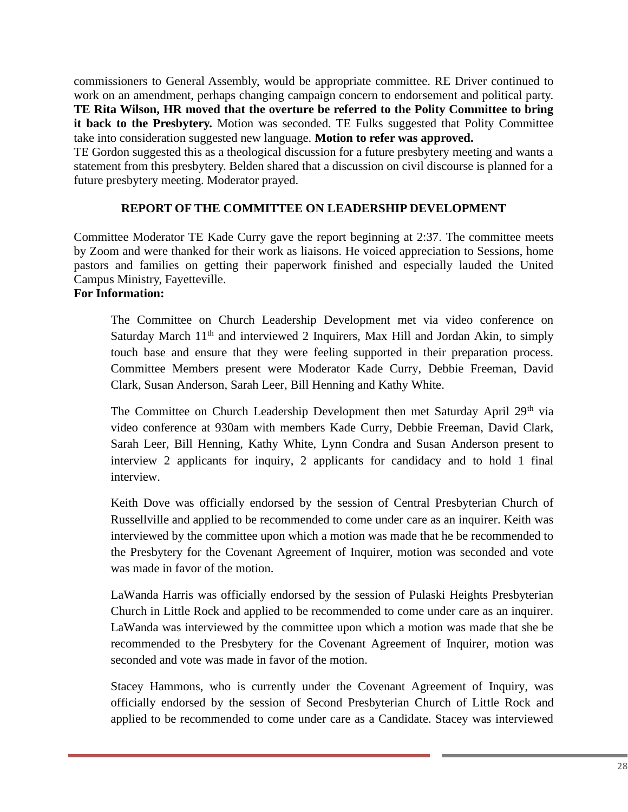commissioners to General Assembly, would be appropriate committee. RE Driver continued to work on an amendment, perhaps changing campaign concern to endorsement and political party. **TE Rita Wilson, HR moved that the overture be referred to the Polity Committee to bring it back to the Presbytery.** Motion was seconded. TE Fulks suggested that Polity Committee take into consideration suggested new language. **Motion to refer was approved.**

TE Gordon suggested this as a theological discussion for a future presbytery meeting and wants a statement from this presbytery. Belden shared that a discussion on civil discourse is planned for a future presbytery meeting. Moderator prayed.

# **REPORT OF THE COMMITTEE ON LEADERSHIP DEVELOPMENT**

Committee Moderator TE Kade Curry gave the report beginning at 2:37. The committee meets by Zoom and were thanked for their work as liaisons. He voiced appreciation to Sessions, home pastors and families on getting their paperwork finished and especially lauded the United Campus Ministry, Fayetteville.

## **For Information:**

The Committee on Church Leadership Development met via video conference on Saturday March  $11<sup>th</sup>$  and interviewed 2 Inquirers, Max Hill and Jordan Akin, to simply touch base and ensure that they were feeling supported in their preparation process. Committee Members present were Moderator Kade Curry, Debbie Freeman, David Clark, Susan Anderson, Sarah Leer, Bill Henning and Kathy White.

The Committee on Church Leadership Development then met Saturday April 29<sup>th</sup> via video conference at 930am with members Kade Curry, Debbie Freeman, David Clark, Sarah Leer, Bill Henning, Kathy White, Lynn Condra and Susan Anderson present to interview 2 applicants for inquiry, 2 applicants for candidacy and to hold 1 final interview.

Keith Dove was officially endorsed by the session of Central Presbyterian Church of Russellville and applied to be recommended to come under care as an inquirer. Keith was interviewed by the committee upon which a motion was made that he be recommended to the Presbytery for the Covenant Agreement of Inquirer, motion was seconded and vote was made in favor of the motion.

LaWanda Harris was officially endorsed by the session of Pulaski Heights Presbyterian Church in Little Rock and applied to be recommended to come under care as an inquirer. LaWanda was interviewed by the committee upon which a motion was made that she be recommended to the Presbytery for the Covenant Agreement of Inquirer, motion was seconded and vote was made in favor of the motion.

Stacey Hammons, who is currently under the Covenant Agreement of Inquiry, was officially endorsed by the session of Second Presbyterian Church of Little Rock and applied to be recommended to come under care as a Candidate. Stacey was interviewed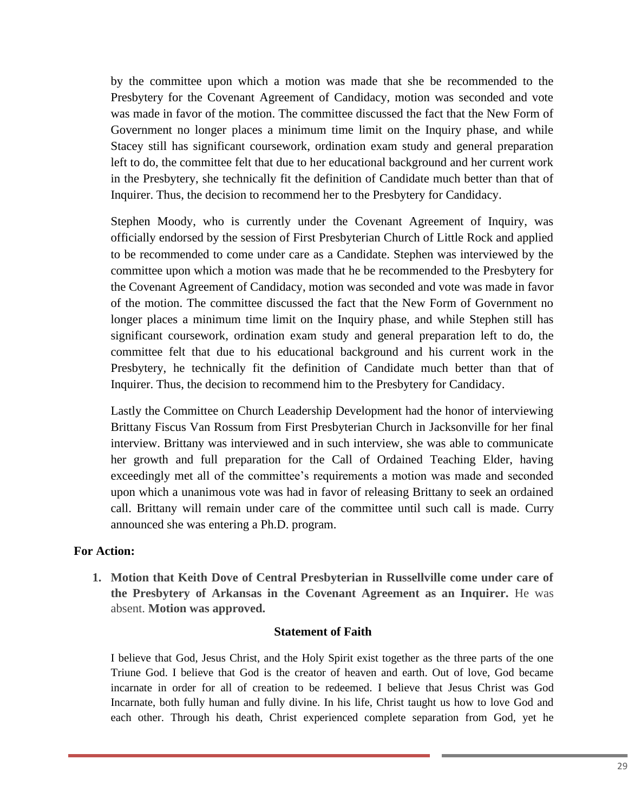by the committee upon which a motion was made that she be recommended to the Presbytery for the Covenant Agreement of Candidacy, motion was seconded and vote was made in favor of the motion. The committee discussed the fact that the New Form of Government no longer places a minimum time limit on the Inquiry phase, and while Stacey still has significant coursework, ordination exam study and general preparation left to do, the committee felt that due to her educational background and her current work in the Presbytery, she technically fit the definition of Candidate much better than that of Inquirer. Thus, the decision to recommend her to the Presbytery for Candidacy.

Stephen Moody, who is currently under the Covenant Agreement of Inquiry, was officially endorsed by the session of First Presbyterian Church of Little Rock and applied to be recommended to come under care as a Candidate. Stephen was interviewed by the committee upon which a motion was made that he be recommended to the Presbytery for the Covenant Agreement of Candidacy, motion was seconded and vote was made in favor of the motion. The committee discussed the fact that the New Form of Government no longer places a minimum time limit on the Inquiry phase, and while Stephen still has significant coursework, ordination exam study and general preparation left to do, the committee felt that due to his educational background and his current work in the Presbytery, he technically fit the definition of Candidate much better than that of Inquirer. Thus, the decision to recommend him to the Presbytery for Candidacy.

Lastly the Committee on Church Leadership Development had the honor of interviewing Brittany Fiscus Van Rossum from First Presbyterian Church in Jacksonville for her final interview. Brittany was interviewed and in such interview, she was able to communicate her growth and full preparation for the Call of Ordained Teaching Elder, having exceedingly met all of the committee's requirements a motion was made and seconded upon which a unanimous vote was had in favor of releasing Brittany to seek an ordained call. Brittany will remain under care of the committee until such call is made. Curry announced she was entering a Ph.D. program.

#### **For Action:**

**1. Motion that Keith Dove of Central Presbyterian in Russellville come under care of the Presbytery of Arkansas in the Covenant Agreement as an Inquirer.** He was absent. **Motion was approved.**

#### **Statement of Faith**

I believe that God, Jesus Christ, and the Holy Spirit exist together as the three parts of the one Triune God. I believe that God is the creator of heaven and earth. Out of love, God became incarnate in order for all of creation to be redeemed. I believe that Jesus Christ was God Incarnate, both fully human and fully divine. In his life, Christ taught us how to love God and each other. Through his death, Christ experienced complete separation from God, yet he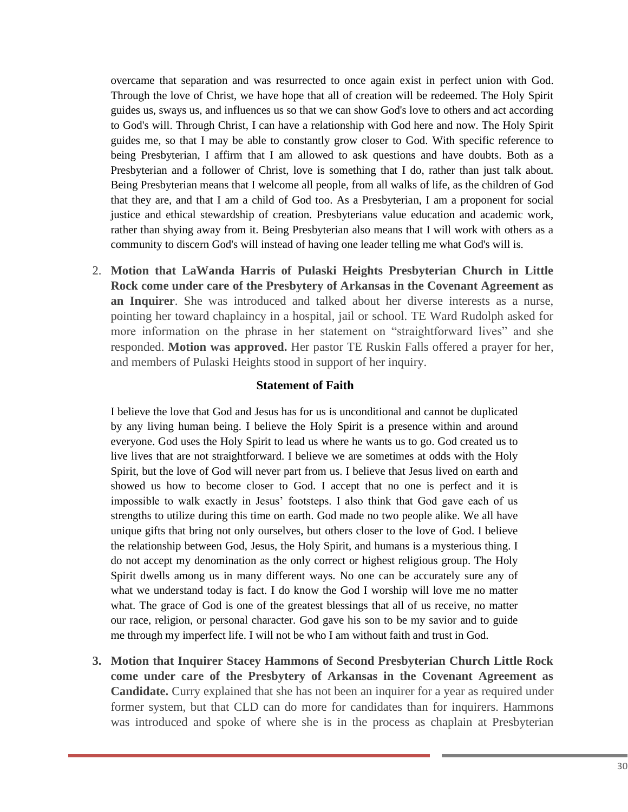overcame that separation and was resurrected to once again exist in perfect union with God. Through the love of Christ, we have hope that all of creation will be redeemed. The Holy Spirit guides us, sways us, and influences us so that we can show God's love to others and act according to God's will. Through Christ, I can have a relationship with God here and now. The Holy Spirit guides me, so that I may be able to constantly grow closer to God. With specific reference to being Presbyterian, I affirm that I am allowed to ask questions and have doubts. Both as a Presbyterian and a follower of Christ, love is something that I do, rather than just talk about. Being Presbyterian means that I welcome all people, from all walks of life, as the children of God that they are, and that I am a child of God too. As a Presbyterian, I am a proponent for social justice and ethical stewardship of creation. Presbyterians value education and academic work, rather than shying away from it. Being Presbyterian also means that I will work with others as a community to discern God's will instead of having one leader telling me what God's will is.

2. **Motion that LaWanda Harris of Pulaski Heights Presbyterian Church in Little Rock come under care of the Presbytery of Arkansas in the Covenant Agreement as an Inquirer**. She was introduced and talked about her diverse interests as a nurse, pointing her toward chaplaincy in a hospital, jail or school. TE Ward Rudolph asked for more information on the phrase in her statement on "straightforward lives" and she responded. **Motion was approved.** Her pastor TE Ruskin Falls offered a prayer for her, and members of Pulaski Heights stood in support of her inquiry.

#### **Statement of Faith**

I believe the love that God and Jesus has for us is unconditional and cannot be duplicated by any living human being. I believe the Holy Spirit is a presence within and around everyone. God uses the Holy Spirit to lead us where he wants us to go. God created us to live lives that are not straightforward. I believe we are sometimes at odds with the Holy Spirit, but the love of God will never part from us. I believe that Jesus lived on earth and showed us how to become closer to God. I accept that no one is perfect and it is impossible to walk exactly in Jesus' footsteps. I also think that God gave each of us strengths to utilize during this time on earth. God made no two people alike. We all have unique gifts that bring not only ourselves, but others closer to the love of God. I believe the relationship between God, Jesus, the Holy Spirit, and humans is a mysterious thing. I do not accept my denomination as the only correct or highest religious group. The Holy Spirit dwells among us in many different ways. No one can be accurately sure any of what we understand today is fact. I do know the God I worship will love me no matter what. The grace of God is one of the greatest blessings that all of us receive, no matter our race, religion, or personal character. God gave his son to be my savior and to guide me through my imperfect life. I will not be who I am without faith and trust in God.

**3. Motion that Inquirer Stacey Hammons of Second Presbyterian Church Little Rock come under care of the Presbytery of Arkansas in the Covenant Agreement as Candidate.** Curry explained that she has not been an inquirer for a year as required under former system, but that CLD can do more for candidates than for inquirers. Hammons was introduced and spoke of where she is in the process as chaplain at Presbyterian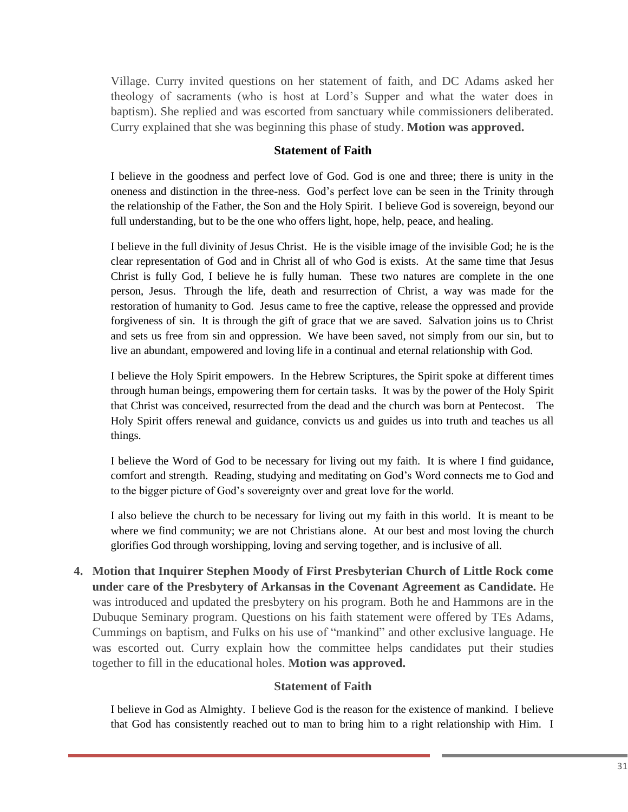Village. Curry invited questions on her statement of faith, and DC Adams asked her theology of sacraments (who is host at Lord's Supper and what the water does in baptism). She replied and was escorted from sanctuary while commissioners deliberated. Curry explained that she was beginning this phase of study. **Motion was approved.**

#### **Statement of Faith**

I believe in the goodness and perfect love of God. God is one and three; there is unity in the oneness and distinction in the three-ness. God's perfect love can be seen in the Trinity through the relationship of the Father, the Son and the Holy Spirit. I believe God is sovereign, beyond our full understanding, but to be the one who offers light, hope, help, peace, and healing.

I believe in the full divinity of Jesus Christ. He is the visible image of the invisible God; he is the clear representation of God and in Christ all of who God is exists. At the same time that Jesus Christ is fully God, I believe he is fully human. These two natures are complete in the one person, Jesus. Through the life, death and resurrection of Christ, a way was made for the restoration of humanity to God. Jesus came to free the captive, release the oppressed and provide forgiveness of sin. It is through the gift of grace that we are saved. Salvation joins us to Christ and sets us free from sin and oppression. We have been saved, not simply from our sin, but to live an abundant, empowered and loving life in a continual and eternal relationship with God.

I believe the Holy Spirit empowers. In the Hebrew Scriptures, the Spirit spoke at different times through human beings, empowering them for certain tasks. It was by the power of the Holy Spirit that Christ was conceived, resurrected from the dead and the church was born at Pentecost. The Holy Spirit offers renewal and guidance, convicts us and guides us into truth and teaches us all things.

I believe the Word of God to be necessary for living out my faith. It is where I find guidance, comfort and strength. Reading, studying and meditating on God's Word connects me to God and to the bigger picture of God's sovereignty over and great love for the world.

I also believe the church to be necessary for living out my faith in this world. It is meant to be where we find community; we are not Christians alone. At our best and most loving the church glorifies God through worshipping, loving and serving together, and is inclusive of all.

**4. Motion that Inquirer Stephen Moody of First Presbyterian Church of Little Rock come under care of the Presbytery of Arkansas in the Covenant Agreement as Candidate.** He was introduced and updated the presbytery on his program. Both he and Hammons are in the Dubuque Seminary program. Questions on his faith statement were offered by TEs Adams, Cummings on baptism, and Fulks on his use of "mankind" and other exclusive language. He was escorted out. Curry explain how the committee helps candidates put their studies together to fill in the educational holes. **Motion was approved.**

#### **Statement of Faith**

I believe in God as Almighty. I believe God is the reason for the existence of mankind. I believe that God has consistently reached out to man to bring him to a right relationship with Him. I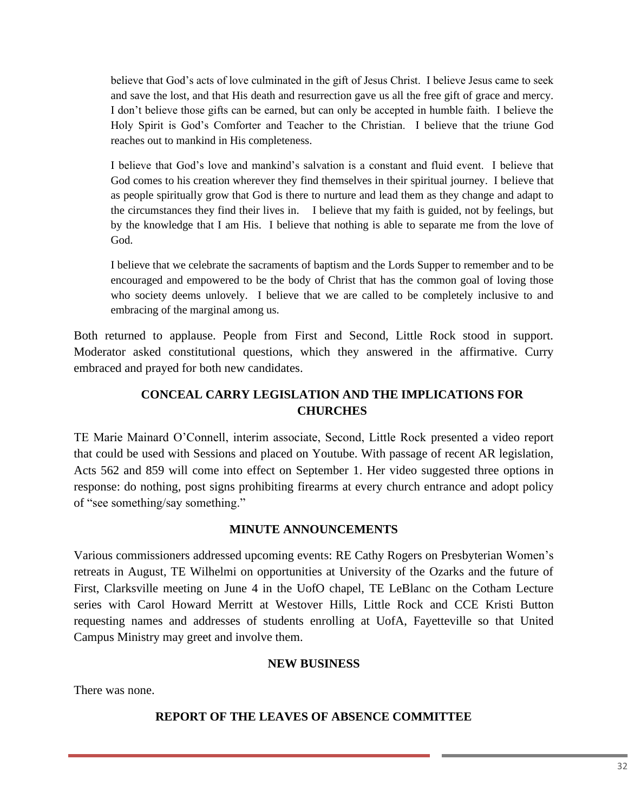believe that God's acts of love culminated in the gift of Jesus Christ. I believe Jesus came to seek and save the lost, and that His death and resurrection gave us all the free gift of grace and mercy. I don't believe those gifts can be earned, but can only be accepted in humble faith. I believe the Holy Spirit is God's Comforter and Teacher to the Christian. I believe that the triune God reaches out to mankind in His completeness.

I believe that God's love and mankind's salvation is a constant and fluid event. I believe that God comes to his creation wherever they find themselves in their spiritual journey. I believe that as people spiritually grow that God is there to nurture and lead them as they change and adapt to the circumstances they find their lives in. I believe that my faith is guided, not by feelings, but by the knowledge that I am His. I believe that nothing is able to separate me from the love of God.

I believe that we celebrate the sacraments of baptism and the Lords Supper to remember and to be encouraged and empowered to be the body of Christ that has the common goal of loving those who society deems unlovely. I believe that we are called to be completely inclusive to and embracing of the marginal among us.

Both returned to applause. People from First and Second, Little Rock stood in support. Moderator asked constitutional questions, which they answered in the affirmative. Curry embraced and prayed for both new candidates.

# **CONCEAL CARRY LEGISLATION AND THE IMPLICATIONS FOR CHURCHES**

TE Marie Mainard O'Connell, interim associate, Second, Little Rock presented a video report that could be used with Sessions and placed on Youtube. With passage of recent AR legislation, Acts 562 and 859 will come into effect on September 1. Her video suggested three options in response: do nothing, post signs prohibiting firearms at every church entrance and adopt policy of "see something/say something."

## **MINUTE ANNOUNCEMENTS**

Various commissioners addressed upcoming events: RE Cathy Rogers on Presbyterian Women's retreats in August, TE Wilhelmi on opportunities at University of the Ozarks and the future of First, Clarksville meeting on June 4 in the UofO chapel, TE LeBlanc on the Cotham Lecture series with Carol Howard Merritt at Westover Hills, Little Rock and CCE Kristi Button requesting names and addresses of students enrolling at UofA, Fayetteville so that United Campus Ministry may greet and involve them.

## **NEW BUSINESS**

There was none.

## **REPORT OF THE LEAVES OF ABSENCE COMMITTEE**